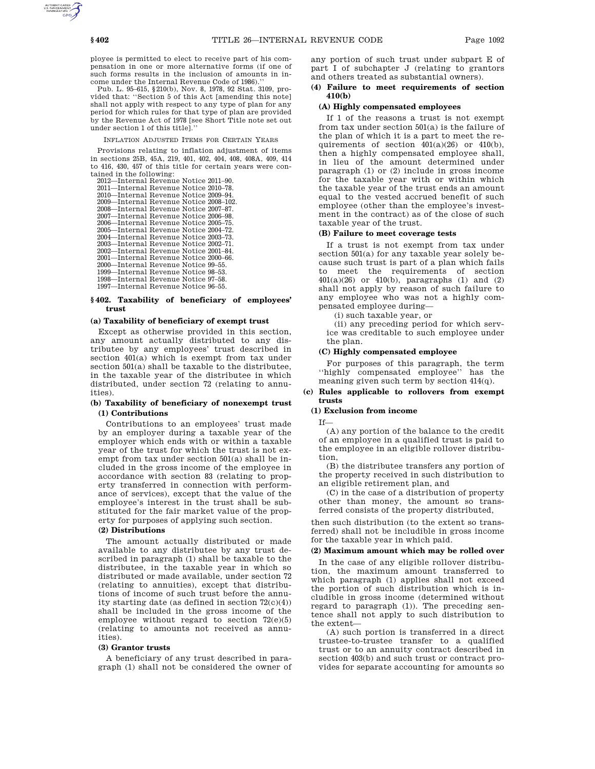ployee is permitted to elect to receive part of his compensation in one or more alternative forms (if one of such forms results in the inclusion of amounts in income under the Internal Revenue Code of 1986).''

Pub. L. 95–615, §210(b), Nov. 8, 1978, 92 Stat. 3109, provided that: ''Section 5 of this Act [amending this note] shall not apply with respect to any type of plan for any period for which rules for that type of plan are provided by the Revenue Act of 1978 [see Short Title note set out under section 1 of this title].''

#### INFLATION ADJUSTED ITEMS FOR CERTAIN YEARS

Provisions relating to inflation adjustment of items in sections 25B, 45A, 219, 401, 402, 404, 408, 408A, 409, 414 to 416, 430, 457 of this title for certain years were contained in the following:

2012—Internal Revenue Notice 2011–90. 2011—Internal Revenue Notice 2010–78. 2010—Internal Revenue Notice 2009–94. 2009—Internal Revenue Notice 2008–102. 2008—Internal Revenue Notice 2007–87. 2007—Internal Revenue Notice 2006–98. 2006—Internal Revenue Notice 2005–75. 2005—Internal Revenue Notice 2004–72. 2004—Internal Revenue Notice 2003–73. 2003—Internal Revenue Notice 2002–71. 2002—Internal Revenue Notice 2001–84. 2001—Internal Revenue Notice 2000–66. 2000—Internal Revenue Notice 99–55. 1999—Internal Revenue Notice 98–53. 1998—Internal Revenue Notice 97–58. 1997—Internal Revenue Notice 96–55.

### **§ 402. Taxability of beneficiary of employees' trust**

### **(a) Taxability of beneficiary of exempt trust**

Except as otherwise provided in this section, any amount actually distributed to any distributee by any employees' trust described in section 401(a) which is exempt from tax under section 501(a) shall be taxable to the distributee, in the taxable year of the distributee in which distributed, under section 72 (relating to annuities).

## **(b) Taxability of beneficiary of nonexempt trust (1) Contributions**

Contributions to an employees' trust made by an employer during a taxable year of the employer which ends with or within a taxable year of the trust for which the trust is not exempt from tax under section 501(a) shall be included in the gross income of the employee in accordance with section 83 (relating to property transferred in connection with performance of services), except that the value of the employee's interest in the trust shall be substituted for the fair market value of the property for purposes of applying such section.

# **(2) Distributions**

The amount actually distributed or made available to any distributee by any trust described in paragraph (1) shall be taxable to the distributee, in the taxable year in which so distributed or made available, under section 72 (relating to annuities), except that distributions of income of such trust before the annuity starting date (as defined in section 72(c)(4)) shall be included in the gross income of the employee without regard to section 72(e)(5) (relating to amounts not received as annuities).

#### **(3) Grantor trusts**

A beneficiary of any trust described in paragraph (1) shall not be considered the owner of any portion of such trust under subpart E of part I of subchapter J (relating to grantors and others treated as substantial owners).

### **(4) Failure to meet requirements of section 410(b)**

### **(A) Highly compensated employees**

If 1 of the reasons a trust is not exempt from tax under section 501(a) is the failure of the plan of which it is a part to meet the requirements of section  $401(a)(26)$  or  $410(b)$ , then a highly compensated employee shall, in lieu of the amount determined under paragraph (1) or (2) include in gross income for the taxable year with or within which the taxable year of the trust ends an amount equal to the vested accrued benefit of such employee (other than the employee's investment in the contract) as of the close of such taxable year of the trust.

# **(B) Failure to meet coverage tests**

If a trust is not exempt from tax under section 501(a) for any taxable year solely because such trust is part of a plan which fails to meet the requirements of section 401(a)(26) or 410(b), paragraphs (1) and (2) shall not apply by reason of such failure to any employee who was not a highly compensated employee during—

(i) such taxable year, or

(ii) any preceding period for which service was creditable to such employee under the plan.

# **(C) Highly compensated employee**

For purposes of this paragraph, the term ''highly compensated employee'' has the meaning given such term by section 414(q).

#### **(c) Rules applicable to rollovers from exempt trusts**

# **(1) Exclusion from income**

If—

(A) any portion of the balance to the credit of an employee in a qualified trust is paid to the employee in an eligible rollover distribution,

(B) the distributee transfers any portion of the property received in such distribution to an eligible retirement plan, and

(C) in the case of a distribution of property other than money, the amount so transferred consists of the property distributed,

then such distribution (to the extent so transferred) shall not be includible in gross income for the taxable year in which paid.

### **(2) Maximum amount which may be rolled over**

In the case of any eligible rollover distribution, the maximum amount transferred to which paragraph (1) applies shall not exceed the portion of such distribution which is includible in gross income (determined without regard to paragraph (1)). The preceding sentence shall not apply to such distribution to the extent—

(A) such portion is transferred in a direct trustee-to-trustee transfer to a qualified trust or to an annuity contract described in section 403(b) and such trust or contract provides for separate accounting for amounts so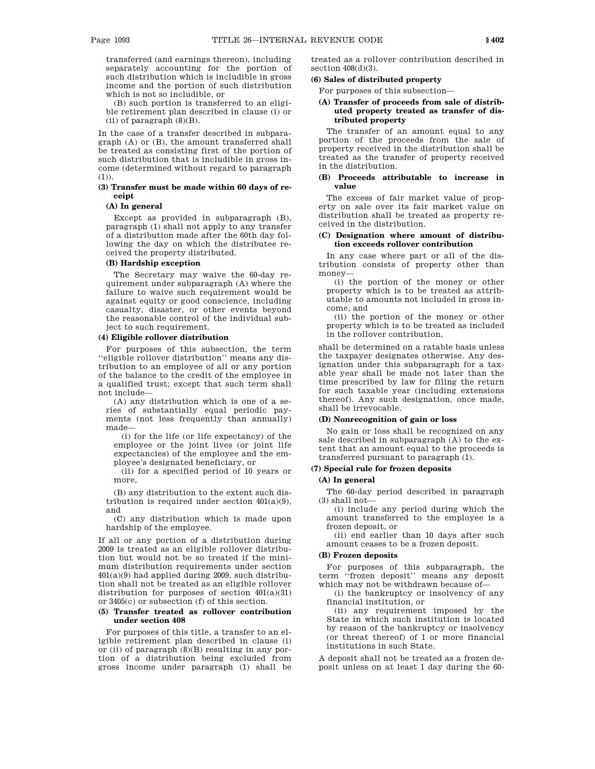transferred (and earnings thereon), including separately accounting for the portion of such distribution which is includible in gross income and the portion of such distribution which is not so includible, or

(B) such portion is transferred to an eligible retirement plan described in clause (i) or (ii) of paragraph (8)(B).

In the case of a transfer described in subparagraph (A) or (B), the amount transferred shall be treated as consisting first of the portion of such distribution that is includible in gross income (determined without regard to paragraph  $(1)$ ).

### **(3) Transfer must be made within 60 days of receipt**

# **(A) In general**

Except as provided in subparagraph (B), paragraph (1) shall not apply to any transfer of a distribution made after the 60th day following the day on which the distributee received the property distributed.

#### **(B) Hardship exception**

The Secretary may waive the 60-day requirement under subparagraph (A) where the failure to waive such requirement would be against equity or good conscience, including casualty, disaster, or other events beyond the reasonable control of the individual subject to such requirement.

#### **(4) Eligible rollover distribution**

For purposes of this subsection, the term ''eligible rollover distribution'' means any distribution to an employee of all or any portion of the balance to the credit of the employee in a qualified trust; except that such term shall not include—

(A) any distribution which is one of a series of substantially equal periodic payments (not less frequently than annually) made—

(i) for the life (or life expectancy) of the employee or the joint lives (or joint life expectancies) of the employee and the employee's designated beneficiary, or

(ii) for a specified period of 10 years or more,

(B) any distribution to the extent such distribution is required under section 401(a)(9), and

(C) any distribution which is made upon hardship of the employee.

If all or any portion of a distribution during 2009 is treated as an eligible rollover distribution but would not be so treated if the minimum distribution requirements under section 401(a)(9) had applied during 2009, such distribution shall not be treated as an eligible rollover distribution for purposes of section 401(a)(31) or 3405(c) or subsection (f) of this section.

### **(5) Transfer treated as rollover contribution under section 408**

For purposes of this title, a transfer to an eligible retirement plan described in clause (i) or (ii) of paragraph (8)(B) resulting in any portion of a distribution being excluded from gross income under paragraph (1) shall be

treated as a rollover contribution described in section  $408(d)(3)$ .

# **(6) Sales of distributed property**

For purposes of this subsection—

## **(A) Transfer of proceeds from sale of distributed property treated as transfer of distributed property**

The transfer of an amount equal to any portion of the proceeds from the sale of property received in the distribution shall be treated as the transfer of property received in the distribution.

## **(B) Proceeds attributable to increase in value**

The excess of fair market value of property on sale over its fair market value on distribution shall be treated as property received in the distribution.

## **(C) Designation where amount of distribution exceeds rollover contribution**

In any case where part or all of the distribution consists of property other than money—

(i) the portion of the money or other property which is to be treated as attributable to amounts not included in gross income, and

(ii) the portion of the money or other property which is to be treated as included in the rollover contribution,

shall be determined on a ratable basis unless the taxpayer designates otherwise. Any designation under this subparagraph for a taxable year shall be made not later than the time prescribed by law for filing the return for such taxable year (including extensions thereof). Any such designation, once made, shall be irrevocable.

## **(D) Nonrecognition of gain or loss**

No gain or loss shall be recognized on any sale described in subparagraph (A) to the extent that an amount equal to the proceeds is transferred pursuant to paragraph (1).

# **(7) Special rule for frozen deposits**

## **(A) In general**

The 60-day period described in paragraph  $(3)$  shall not-

(i) include any period during which the amount transferred to the employee is a frozen deposit, or

(ii) end earlier than 10 days after such amount ceases to be a frozen deposit.

### **(B) Frozen deposits**

For purposes of this subparagraph, the term ''frozen deposit'' means any deposit which may not be withdrawn because of—

(i) the bankruptcy or insolvency of any financial institution, or

(ii) any requirement imposed by the State in which such institution is located by reason of the bankruptcy or insolvency (or threat thereof) of 1 or more financial institutions in such State.

A deposit shall not be treated as a frozen deposit unless on at least 1 day during the 60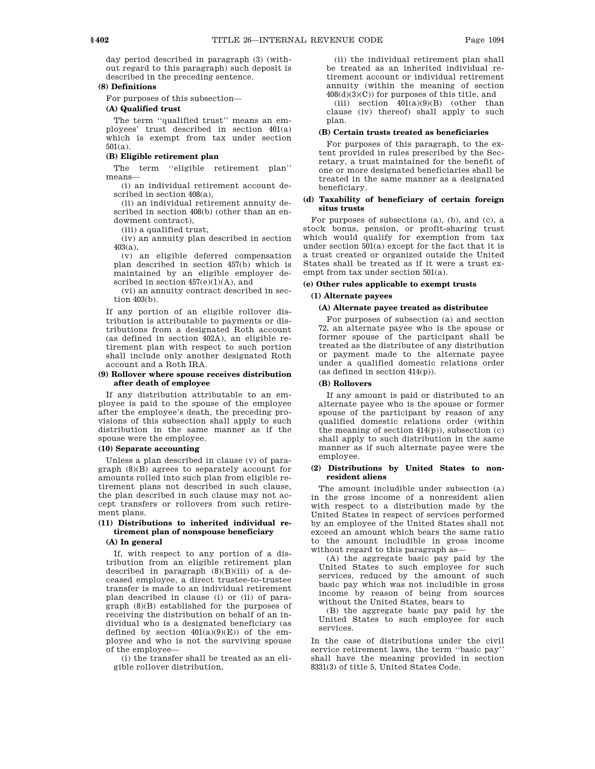day period described in paragraph (3) (without regard to this paragraph) such deposit is described in the preceding sentence.

### **(8) Definitions**

For purposes of this subsection—

## **(A) Qualified trust**

The term ''qualified trust'' means an employees' trust described in section 401(a) which is exempt from tax under section 501(a).

# **(B) Eligible retirement plan**

The term ''eligible retirement plan'' means—

(i) an individual retirement account described in section 408(a),

(ii) an individual retirement annuity described in section 408(b) (other than an endowment contract),

(iii) a qualified trust,

(iv) an annuity plan described in section 403(a),

(v) an eligible deferred compensation plan described in section 457(b) which is maintained by an eligible employer described in section  $457(e)(1)(A)$ , and

(vi) an annuity contract described in section 403(b).

If any portion of an eligible rollover distribution is attributable to payments or distributions from a designated Roth account (as defined in section 402A), an eligible retirement plan with respect to such portion shall include only another designated Roth account and a Roth IRA.

### **(9) Rollover where spouse receives distribution after death of employee**

If any distribution attributable to an employee is paid to the spouse of the employee after the employee's death, the preceding provisions of this subsection shall apply to such distribution in the same manner as if the spouse were the employee.

## **(10) Separate accounting**

Unless a plan described in clause (v) of paragraph (8)(B) agrees to separately account for amounts rolled into such plan from eligible retirement plans not described in such clause, the plan described in such clause may not accept transfers or rollovers from such retirement plans.

# **(11) Distributions to inherited individual retirement plan of nonspouse beneficiary**

# **(A) In general**

If, with respect to any portion of a distribution from an eligible retirement plan described in paragraph (8)(B)(iii) of a deceased employee, a direct trustee-to-trustee transfer is made to an individual retirement plan described in clause (i) or (ii) of paragraph (8)(B) established for the purposes of receiving the distribution on behalf of an individual who is a designated beneficiary (as defined by section  $401(a)(9)(E)$  of the employee and who is not the surviving spouse of the employee—

(i) the transfer shall be treated as an eligible rollover distribution,

(ii) the individual retirement plan shall be treated as an inherited individual retirement account or individual retirement annuity (within the meaning of section 408(d)(3)(C)) for purposes of this title, and

(iii) section  $401(a)(9)(B)$  (other than clause (iv) thereof) shall apply to such plan.

### **(B) Certain trusts treated as beneficiaries**

For purposes of this paragraph, to the extent provided in rules prescribed by the Secretary, a trust maintained for the benefit of one or more designated beneficiaries shall be treated in the same manner as a designated beneficiary.

## **(d) Taxability of beneficiary of certain foreign situs trusts**

For purposes of subsections (a), (b), and (c), a stock bonus, pension, or profit-sharing trust which would qualify for exemption from tax under section 501(a) except for the fact that it is a trust created or organized outside the United States shall be treated as if it were a trust exempt from tax under section 501(a).

# **(e) Other rules applicable to exempt trusts**

### **(1) Alternate payees**

### **(A) Alternate payee treated as distributee**

For purposes of subsection (a) and section 72, an alternate payee who is the spouse or former spouse of the participant shall be treated as the distributee of any distribution or payment made to the alternate payee under a qualified domestic relations order (as defined in section 414(p)).

### **(B) Rollovers**

If any amount is paid or distributed to an alternate payee who is the spouse or former spouse of the participant by reason of any qualified domestic relations order (within the meaning of section  $414(p)$ , subsection  $(c)$ shall apply to such distribution in the same manner as if such alternate payee were the employee.

## **(2) Distributions by United States to nonresident aliens**

The amount includible under subsection (a) in the gross income of a nonresident alien with respect to a distribution made by the United States in respect of services performed by an employee of the United States shall not exceed an amount which bears the same ratio to the amount includible in gross income without regard to this paragraph as—

(A) the aggregate basic pay paid by the United States to such employee for such services, reduced by the amount of such basic pay which was not includible in gross income by reason of being from sources without the United States, bears to

(B) the aggregate basic pay paid by the United States to such employee for such services.

In the case of distributions under the civil service retirement laws, the term ''basic pay'' shall have the meaning provided in section 8331(3) of title 5, United States Code.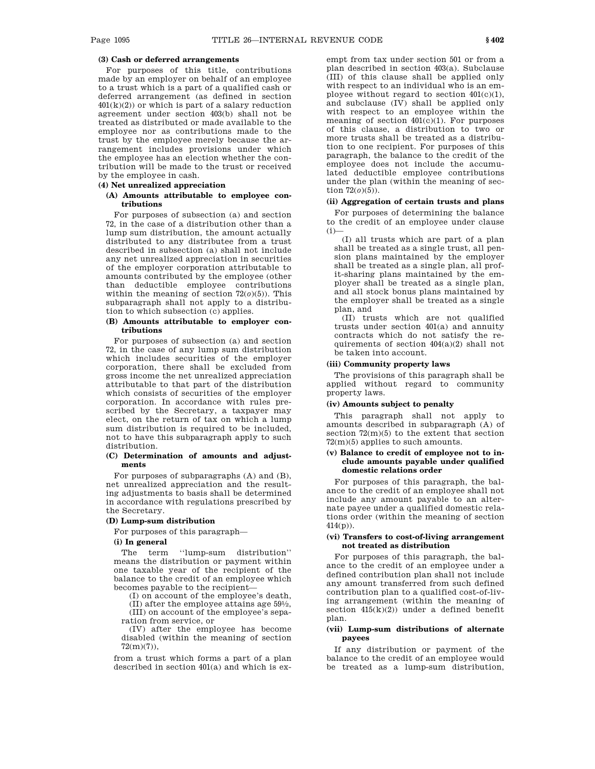# **(3) Cash or deferred arrangements**

For purposes of this title, contributions made by an employer on behalf of an employee to a trust which is a part of a qualified cash or deferred arrangement (as defined in section  $401(k)(2)$  or which is part of a salary reduction agreement under section 403(b) shall not be treated as distributed or made available to the employee nor as contributions made to the trust by the employee merely because the arrangement includes provisions under which the employee has an election whether the contribution will be made to the trust or received by the employee in cash.

# **(4) Net unrealized appreciation**

# **(A) Amounts attributable to employee contributions**

For purposes of subsection (a) and section 72, in the case of a distribution other than a lump sum distribution, the amount actually distributed to any distributee from a trust described in subsection (a) shall not include any net unrealized appreciation in securities of the employer corporation attributable to amounts contributed by the employee (other than deductible employee contributions within the meaning of section 72(*o*)(5)). This subparagraph shall not apply to a distribution to which subsection (c) applies.

## **(B) Amounts attributable to employer contributions**

For purposes of subsection (a) and section 72, in the case of any lump sum distribution which includes securities of the employer corporation, there shall be excluded from gross income the net unrealized appreciation attributable to that part of the distribution which consists of securities of the employer corporation. In accordance with rules prescribed by the Secretary, a taxpayer may elect, on the return of tax on which a lump sum distribution is required to be included, not to have this subparagraph apply to such distribution.

### **(C) Determination of amounts and adjustments**

For purposes of subparagraphs (A) and (B), net unrealized appreciation and the resulting adjustments to basis shall be determined in accordance with regulations prescribed by the Secretary.

## **(D) Lump-sum distribution**

For purposes of this paragraph—

#### **(i) In general**

The term "lump-sum distribution" means the distribution or payment within one taxable year of the recipient of the balance to the credit of an employee which becomes payable to the recipient—

(I) on account of the employee's death,

(II) after the employee attains age 591 ⁄2, (III) on account of the employee's separation from service, or

(IV) after the employee has become disabled (within the meaning of section 72(m)(7)),

from a trust which forms a part of a plan described in section 401(a) and which is ex-

empt from tax under section 501 or from a plan described in section 403(a). Subclause (III) of this clause shall be applied only with respect to an individual who is an employee without regard to section  $401(c)(1)$ , and subclause (IV) shall be applied only with respect to an employee within the meaning of section  $401(c)(1)$ . For purposes of this clause, a distribution to two or more trusts shall be treated as a distribution to one recipient. For purposes of this paragraph, the balance to the credit of the employee does not include the accumulated deductible employee contributions under the plan (within the meaning of section  $72(0)(5)$ ).

### **(ii) Aggregation of certain trusts and plans**

For purposes of determining the balance to the credit of an employee under clause  $(i)$ 

(I) all trusts which are part of a plan shall be treated as a single trust, all pension plans maintained by the employer shall be treated as a single plan, all profit-sharing plans maintained by the employer shall be treated as a single plan, and all stock bonus plans maintained by the employer shall be treated as a single plan, and

(II) trusts which are not qualified trusts under section 401(a) and annuity contracts which do not satisfy the requirements of section  $404(a)(2)$  shall not be taken into account.

# **(iii) Community property laws**

The provisions of this paragraph shall be applied without regard to community property laws.

#### **(iv) Amounts subject to penalty**

This paragraph shall not apply to amounts described in subparagraph (A) of section 72(m)(5) to the extent that section 72(m)(5) applies to such amounts.

### **(v) Balance to credit of employee not to include amounts payable under qualified domestic relations order**

For purposes of this paragraph, the balance to the credit of an employee shall not include any amount payable to an alternate payee under a qualified domestic relations order (within the meaning of section 414(p)).

### **(vi) Transfers to cost-of-living arrangement not treated as distribution**

For purposes of this paragraph, the balance to the credit of an employee under a defined contribution plan shall not include any amount transferred from such defined contribution plan to a qualified cost-of-living arrangement (within the meaning of section 415(k)(2)) under a defined benefit plan.

### **(vii) Lump-sum distributions of alternate payees**

If any distribution or payment of the balance to the credit of an employee would be treated as a lump-sum distribution,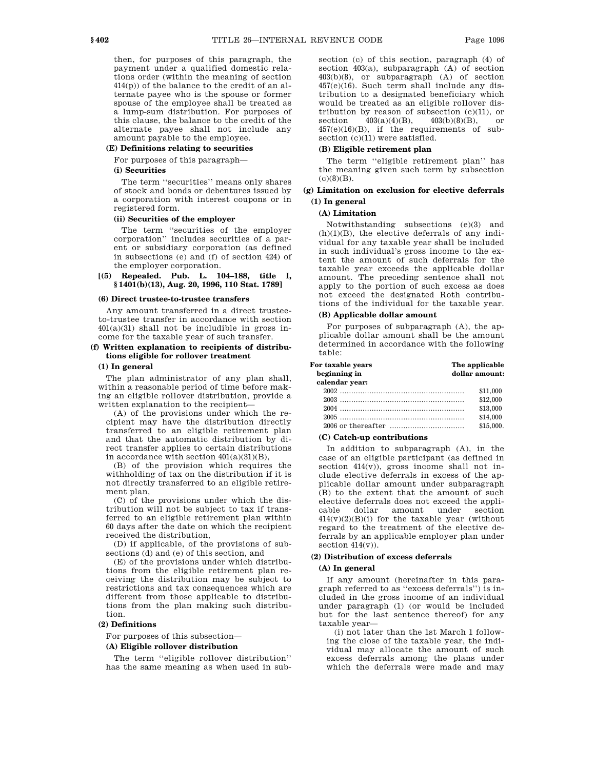then, for purposes of this paragraph, the payment under a qualified domestic relations order (within the meaning of section 414(p)) of the balance to the credit of an alternate payee who is the spouse or former spouse of the employee shall be treated as a lump-sum distribution. For purposes of this clause, the balance to the credit of the alternate payee shall not include any

# amount payable to the employee. **(E) Definitions relating to securities**

For purposes of this paragraph—

## **(i) Securities**

The term ''securities'' means only shares of stock and bonds or debentures issued by a corporation with interest coupons or in registered form.

### **(ii) Securities of the employer**

The term ''securities of the employer corporation'' includes securities of a parent or subsidiary corporation (as defined in subsections (e) and (f) of section 424) of the employer corporation.

## **[(5) Repealed. Pub. L. 104–188, title I, § 1401(b)(13), Aug. 20, 1996, 110 Stat. 1789]**

#### **(6) Direct trustee-to-trustee transfers**

Any amount transferred in a direct trusteeto-trustee transfer in accordance with section  $401(a)(31)$  shall not be includible in gross income for the taxable year of such transfer.

## **(f) Written explanation to recipients of distributions eligible for rollover treatment**

## **(1) In general**

The plan administrator of any plan shall, within a reasonable period of time before making an eligible rollover distribution, provide a written explanation to the recipient—

(A) of the provisions under which the recipient may have the distribution directly transferred to an eligible retirement plan and that the automatic distribution by direct transfer applies to certain distributions in accordance with section 401(a)(31)(B),

(B) of the provision which requires the withholding of tax on the distribution if it is not directly transferred to an eligible retirement plan,

(C) of the provisions under which the distribution will not be subject to tax if transferred to an eligible retirement plan within 60 days after the date on which the recipient received the distribution,

(D) if applicable, of the provisions of subsections (d) and (e) of this section, and

(E) of the provisions under which distributions from the eligible retirement plan receiving the distribution may be subject to restrictions and tax consequences which are different from those applicable to distributions from the plan making such distribution.

## **(2) Definitions**

For purposes of this subsection—

## **(A) Eligible rollover distribution**

The term ''eligible rollover distribution'' has the same meaning as when used in subsection (c) of this section, paragraph (4) of section 403(a), subparagraph (A) of section 403(b)(8), or subparagraph (A) of section 457(e)(16). Such term shall include any distribution to a designated beneficiary which would be treated as an eligible rollover distribution by reason of subsection  $(c)(11)$ , or section  $\frac{403(a)(4)(B)}{403(b)(8)(B)}$ , or 457(e)(16)(B), if the requirements of subsection (c)(11) were satisfied.

### **(B) Eligible retirement plan**

The term ''eligible retirement plan'' has the meaning given such term by subsection  $(c)(8)(B)$ .

# **(g) Limitation on exclusion for elective deferrals (1) In general**

### **(A) Limitation**

Notwithstanding subsections (e)(3) and  $(h)(1)(B)$ , the elective deferrals of any individual for any taxable year shall be included in such individual's gross income to the extent the amount of such deferrals for the taxable year exceeds the applicable dollar amount. The preceding sentence shall not apply to the portion of such excess as does not exceed the designated Roth contributions of the individual for the taxable year.

### **(B) Applicable dollar amount**

For purposes of subparagraph (A), the applicable dollar amount shall be the amount determined in accordance with the following table:

| For taxable years  | The applicable |
|--------------------|----------------|
| beginning in       | dollar amount: |
| calendar year:     |                |
|                    | \$11,000       |
|                    | \$12,000       |
|                    | \$13,000       |
|                    | \$14,000       |
| 2006 or thereafter | \$15.000       |

#### **(C) Catch-up contributions**

In addition to subparagraph (A), in the case of an eligible participant (as defined in section  $414(v)$ , gross income shall not include elective deferrals in excess of the applicable dollar amount under subparagraph (B) to the extent that the amount of such elective deferrals does not exceed the applicable dollar amount under section  $414(v)(2)(B)(i)$  for the taxable year (without regard to the treatment of the elective deferrals by an applicable employer plan under section 414(v)).

# **(2) Distribution of excess deferrals**

#### **(A) In general**

If any amount (hereinafter in this paragraph referred to as ''excess deferrals'') is included in the gross income of an individual under paragraph (1) (or would be included but for the last sentence thereof) for any taxable year—

(i) not later than the 1st March 1 following the close of the taxable year, the individual may allocate the amount of such excess deferrals among the plans under which the deferrals were made and may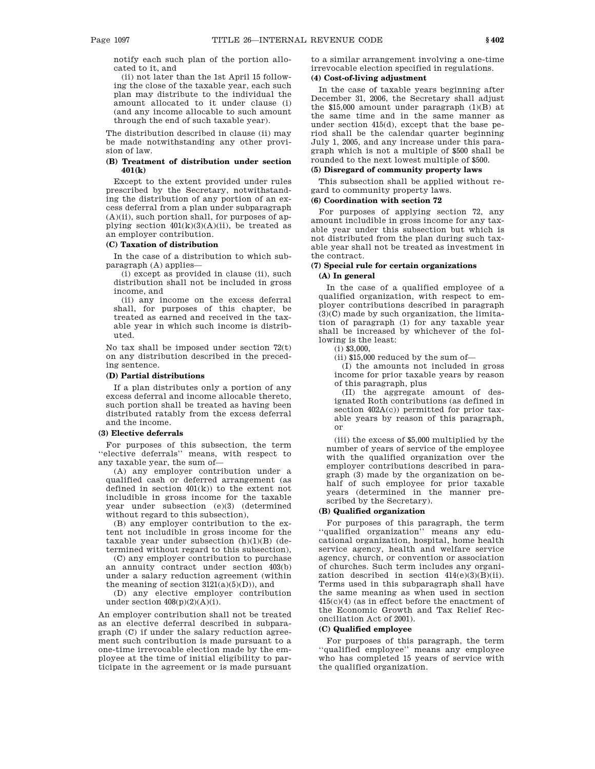notify each such plan of the portion allocated to it, and

(ii) not later than the 1st April 15 following the close of the taxable year, each such plan may distribute to the individual the amount allocated to it under clause (i) (and any income allocable to such amount through the end of such taxable year).

The distribution described in clause (ii) may be made notwithstanding any other provision of law.

### **(B) Treatment of distribution under section 401(k)**

Except to the extent provided under rules prescribed by the Secretary, notwithstanding the distribution of any portion of an excess deferral from a plan under subparagraph  $(A)(ii)$ , such portion shall, for purposes of applying section  $401(k)(3)(A)(ii)$ , be treated as an employer contribution.

#### **(C) Taxation of distribution**

In the case of a distribution to which subparagraph (A) applies—

(i) except as provided in clause (ii), such distribution shall not be included in gross income, and

(ii) any income on the excess deferral shall, for purposes of this chapter, be treated as earned and received in the taxable year in which such income is distributed.

No tax shall be imposed under section 72(t) on any distribution described in the preceding sentence.

#### **(D) Partial distributions**

If a plan distributes only a portion of any excess deferral and income allocable thereto, such portion shall be treated as having been distributed ratably from the excess deferral and the income.

#### **(3) Elective deferrals**

For purposes of this subsection, the term ''elective deferrals'' means, with respect to any taxable year, the sum of—

(A) any employer contribution under a qualified cash or deferred arrangement (as defined in section  $401(k)$  to the extent not includible in gross income for the taxable year under subsection (e)(3) (determined without regard to this subsection),

(B) any employer contribution to the extent not includible in gross income for the taxable year under subsection  $(h)(1)(B)$  (determined without regard to this subsection),

(C) any employer contribution to purchase an annuity contract under section 403(b) under a salary reduction agreement (within the meaning of section  $3121(a)(5)(D)$ , and

(D) any elective employer contribution under section  $408(p)(2)(A)(i)$ .

An employer contribution shall not be treated as an elective deferral described in subparagraph (C) if under the salary reduction agreement such contribution is made pursuant to a one-time irrevocable election made by the employee at the time of initial eligibility to participate in the agreement or is made pursuant to a similar arrangement involving a one-time irrevocable election specified in regulations.

# **(4) Cost-of-living adjustment**

In the case of taxable years beginning after December 31, 2006, the Secretary shall adjust the \$15,000 amount under paragraph (1)(B) at the same time and in the same manner as under section 415(d), except that the base period shall be the calendar quarter beginning July 1, 2005, and any increase under this paragraph which is not a multiple of \$500 shall be rounded to the next lowest multiple of \$500.

# **(5) Disregard of community property laws**

This subsection shall be applied without regard to community property laws.

#### **(6) Coordination with section 72**

For purposes of applying section 72, any amount includible in gross income for any taxable year under this subsection but which is not distributed from the plan during such taxable year shall not be treated as investment in the contract.

## **(7) Special rule for certain organizations (A) In general**

In the case of a qualified employee of a qualified organization, with respect to employer contributions described in paragraph (3)(C) made by such organization, the limitation of paragraph (1) for any taxable year shall be increased by whichever of the following is the least:

(i) \$3,000,

(ii) \$15,000 reduced by the sum of—

(I) the amounts not included in gross income for prior taxable years by reason of this paragraph, plus

(II) the aggregate amount of designated Roth contributions (as defined in section 402A(c)) permitted for prior taxable years by reason of this paragraph, or

(iii) the excess of \$5,000 multiplied by the number of years of service of the employee with the qualified organization over the employer contributions described in paragraph (3) made by the organization on behalf of such employee for prior taxable years (determined in the manner prescribed by the Secretary).

## **(B) Qualified organization**

For purposes of this paragraph, the term ''qualified organization'' means any educational organization, hospital, home health service agency, health and welfare service agency, church, or convention or association of churches. Such term includes any organization described in section 414(e)(3)(B)(ii). Terms used in this subparagraph shall have the same meaning as when used in section 415(c)(4) (as in effect before the enactment of the Economic Growth and Tax Relief Reconciliation Act of 2001).

### **(C) Qualified employee**

For purposes of this paragraph, the term ''qualified employee'' means any employee who has completed 15 years of service with the qualified organization.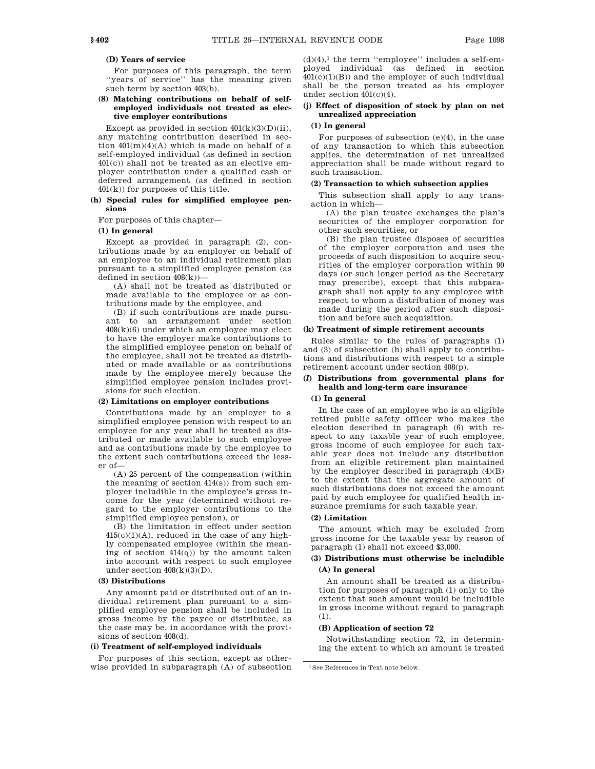### **(D) Years of service**

For purposes of this paragraph, the term ''years of service'' has the meaning given such term by section 403(b).

### **(8) Matching contributions on behalf of selfemployed individuals not treated as elective employer contributions**

Except as provided in section  $401(k)(3)(D)(ii)$ , any matching contribution described in section  $401(m)(4)(A)$  which is made on behalf of a self-employed individual (as defined in section 401(c)) shall not be treated as an elective employer contribution under a qualified cash or deferred arrangement (as defined in section  $401(k)$  for purposes of this title.

### **(h) Special rules for simplified employee pensions**

For purposes of this chapter—

#### **(1) In general**

Except as provided in paragraph (2), contributions made by an employer on behalf of an employee to an individual retirement plan pursuant to a simplified employee pension (as defined in section  $408(k)$ )—

(A) shall not be treated as distributed or made available to the employee or as contributions made by the employee, and

(B) if such contributions are made pursuant to an arrangement under section 408(k)(6) under which an employee may elect to have the employer make contributions to the simplified employee pension on behalf of the employee, shall not be treated as distributed or made available or as contributions made by the employee merely because the simplified employee pension includes provisions for such election.

#### **(2) Limitations on employer contributions**

Contributions made by an employer to a simplified employee pension with respect to an employee for any year shall be treated as distributed or made available to such employee and as contributions made by the employee to the extent such contributions exceed the lesser of—

(A) 25 percent of the compensation (within the meaning of section 414(s)) from such employer includible in the employee's gross income for the year (determined without regard to the employer contributions to the simplified employee pension), or

(B) the limitation in effect under section  $415(c)(1)(A)$ , reduced in the case of any highly compensated employee (within the meaning of section  $414(q)$ ) by the amount taken into account with respect to such employee under section  $408(k)(3)(D)$ .

### **(3) Distributions**

Any amount paid or distributed out of an individual retirement plan pursuant to a simplified employee pension shall be included in gross income by the payee or distributee, as the case may be, in accordance with the provisions of section 408(d).

# **(i) Treatment of self-employed individuals**

For purposes of this section, except as otherwise provided in subparagraph (A) of subsection  $(d)(4)$ ,<sup>1</sup> the term "employee" includes a self-employed individual (as defined in section  $401(c)(1)(B)$  and the employer of such individual shall be the person treated as his employer under section 401(c)(4).

# **(j) Effect of disposition of stock by plan on net unrealized appreciation**

# **(1) In general**

For purposes of subsection (e)(4), in the case of any transaction to which this subsection applies, the determination of net unrealized appreciation shall be made without regard to such transaction.

### **(2) Transaction to which subsection applies**

This subsection shall apply to any transaction in which—

(A) the plan trustee exchanges the plan's securities of the employer corporation for other such securities, or

(B) the plan trustee disposes of securities of the employer corporation and uses the proceeds of such disposition to acquire securities of the employer corporation within 90 days (or such longer period as the Secretary may prescribe), except that this subparagraph shall not apply to any employee with respect to whom a distribution of money was made during the period after such disposition and before such acquisition.

## **(k) Treatment of simple retirement accounts**

Rules similar to the rules of paragraphs (1) and (3) of subsection (h) shall apply to contributions and distributions with respect to a simple retirement account under section 408(p).

### **(***l***) Distributions from governmental plans for health and long-term care insurance**

## **(1) In general**

In the case of an employee who is an eligible retired public safety officer who makes the election described in paragraph (6) with respect to any taxable year of such employee, gross income of such employee for such taxable year does not include any distribution from an eligible retirement plan maintained by the employer described in paragraph  $(4)(B)$ to the extent that the aggregate amount of such distributions does not exceed the amount paid by such employee for qualified health insurance premiums for such taxable year.

### **(2) Limitation**

The amount which may be excluded from gross income for the taxable year by reason of paragraph (1) shall not exceed \$3,000.

## **(3) Distributions must otherwise be includible (A) In general**

An amount shall be treated as a distribution for purposes of paragraph (1) only to the extent that such amount would be includible in gross income without regard to paragraph (1).

#### **(B) Application of section 72**

Notwithstanding section 72, in determining the extent to which an amount is treated

<sup>1</sup>See References in Text note below.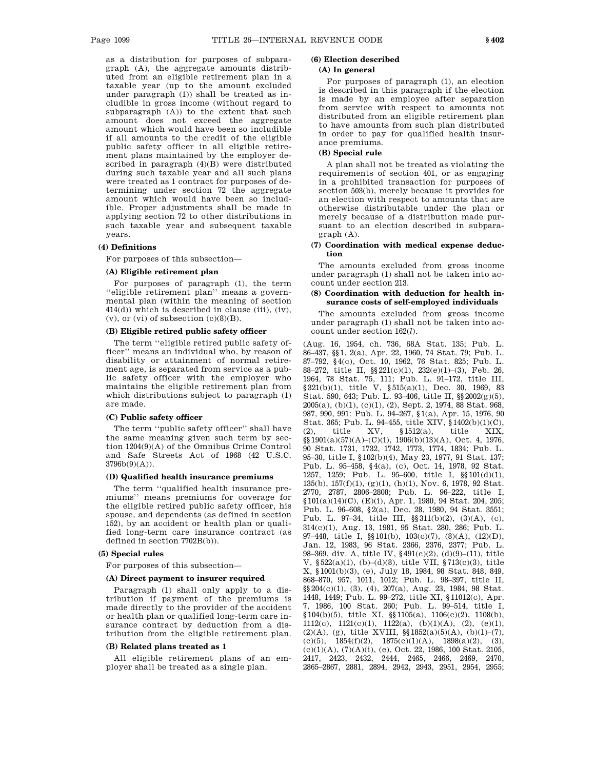as a distribution for purposes of subparagraph (A), the aggregate amounts distributed from an eligible retirement plan in a taxable year (up to the amount excluded under paragraph (1)) shall be treated as includible in gross income (without regard to subparagraph (A)) to the extent that such amount does not exceed the aggregate amount which would have been so includible if all amounts to the credit of the eligible public safety officer in all eligible retirement plans maintained by the employer described in paragraph (4)(B) were distributed during such taxable year and all such plans were treated as 1 contract for purposes of determining under section 72 the aggregate amount which would have been so includible. Proper adjustments shall be made in applying section 72 to other distributions in such taxable year and subsequent taxable years.

#### **(4) Definitions**

For purposes of this subsection—

### **(A) Eligible retirement plan**

For purposes of paragraph (1), the term ''eligible retirement plan'' means a governmental plan (within the meaning of section 414(d)) which is described in clause (iii), (iv),  $(v)$ , or  $(vi)$  of subsection  $(c)(8)(B)$ .

## **(B) Eligible retired public safety officer**

The term ''eligible retired public safety officer'' means an individual who, by reason of disability or attainment of normal retirement age, is separated from service as a public safety officer with the employer who maintains the eligible retirement plan from which distributions subject to paragraph (1) are made.

### **(C) Public safety officer**

The term ''public safety officer'' shall have the same meaning given such term by section 1204(9)(A) of the Omnibus Crime Control and Safe Streets Act of 1968 (42 U.S.C. 3796b(9)(A)).

### **(D) Qualified health insurance premiums**

The term ''qualified health insurance premiums'' means premiums for coverage for the eligible retired public safety officer, his spouse, and dependents (as defined in section 152), by an accident or health plan or qualified long-term care insurance contract (as defined in section 7702B(b)).

# **(5) Special rules**

For purposes of this subsection—

#### **(A) Direct payment to insurer required**

Paragraph (1) shall only apply to a distribution if payment of the premiums is made directly to the provider of the accident or health plan or qualified long-term care insurance contract by deduction from a distribution from the eligible retirement plan.

### **(B) Related plans treated as 1**

All eligible retirement plans of an employer shall be treated as a single plan.

### **(6) Election described**

# **(A) In general**

For purposes of paragraph (1), an election is described in this paragraph if the election is made by an employee after separation from service with respect to amounts not distributed from an eligible retirement plan to have amounts from such plan distributed in order to pay for qualified health insurance premiums.

# **(B) Special rule**

A plan shall not be treated as violating the requirements of section 401, or as engaging in a prohibited transaction for purposes of section 503(b), merely because it provides for an election with respect to amounts that are otherwise distributable under the plan or merely because of a distribution made pursuant to an election described in subparagraph (A).

### **(7) Coordination with medical expense deduction**

The amounts excluded from gross income under paragraph (1) shall not be taken into account under section 213.

### **(8) Coordination with deduction for health insurance costs of self-employed individuals**

The amounts excluded from gross income under paragraph (1) shall not be taken into account under section 162(*l*).

(Aug. 16, 1954, ch. 736, 68A Stat. 135; Pub. L. 86–437, §§1, 2(a), Apr. 22, 1960, 74 Stat. 79; Pub. L. 87–792, §4(c), Oct. 10, 1962, 76 Stat. 825; Pub. L. 88–272, title II, §§221(c)(1), 232(e)(1)–(3), Feb. 26, 1964, 78 Stat. 75, 111; Pub. L. 91–172, title III, §321(b)(1), title V, §515(a)(1), Dec. 30, 1969, 83 Stat. 590, 643; Pub. L. 93–406, title II, §§2002(g)(5), 2005(a), (b)(1), (c)(1), (2), Sept. 2, 1974, 88 Stat. 968, 987, 990, 991: Pub. L. 94–267, §1(a), Apr. 15, 1976, 90 Stat. 365; Pub. L. 94–455, title XIV, §1402(b)(1)(C), (2), title XV, §1512(a), title XIX, §§1901(a)(57)(A)–(C)(i), 1906(b)(13)(A), Oct. 4, 1976, 90 Stat. 1731, 1732, 1742, 1773, 1774, 1834; Pub. L. 95–30, title I, §102(b)(4), May 23, 1977, 91 Stat. 137; Pub. L. 95–458, §4(a), (c), Oct. 14, 1978, 92 Stat. 1257, 1259; Pub. L. 95–600, title I, §§101(d)(1), 135(b), 157(f)(1), (g)(1), (h)(1), Nov. 6, 1978, 92 Stat. 2770, 2787, 2806–2808; Pub. L. 96–222, title I, §101(a)(14)(C), (E)(i), Apr. 1, 1980, 94 Stat. 204, 205; Pub. L. 96–608, §2(a), Dec. 28, 1980, 94 Stat. 3551; Pub. L. 97–34, title III, §§311(b)(2), (3)(A), (c), 314(c)(1), Aug. 13, 1981, 95 Stat. 280, 286; Pub. L. 97–448, title I, §§101(b), 103(c)(7), (8)(A), (12)(D), Jan. 12, 1983, 96 Stat. 2366, 2376, 2377; Pub. L. 98–369, div. A, title IV, §491(c)(2), (d)(9)–(11), title V, §522(a)(1), (b)–(d)(8), title VII, §713(c)(3), title X, §1001(b)(3), (e), July 18, 1984, 98 Stat. 848, 849, 868–870, 957, 1011, 1012; Pub. L. 98–397, title II, §§204(c)(1), (3), (4), 207(a), Aug. 23, 1984, 98 Stat. 1448, 1449; Pub. L. 99–272, title XI, §11012(c), Apr. 7, 1986, 100 Stat. 260; Pub. L. 99–514, title I, §104(b)(5), title XI, §§1105(a), 1106(c)(2), 1108(b), 1112(c), 1121(c)(1), 1122(a), (b)(1)(A), (2), (e)(1), (2)(A), (g), title XVIII,  $\S$ [1852(a)(5)(A), (b)(1)–(7), (c)(5),  $1854(f)(2)$ ,  $1875(c)(1)(A)$ ,  $1898(a)(2)$ , (3),  $(c)(1)(A), (7)(A)(i), (e), Oct. 22, 1986, 100 Stat. 2105,$ 2417, 2423, 2432, 2444, 2465, 2466, 2469, 2470, 2865–2867, 2881, 2894, 2942, 2943, 2951, 2954, 2955;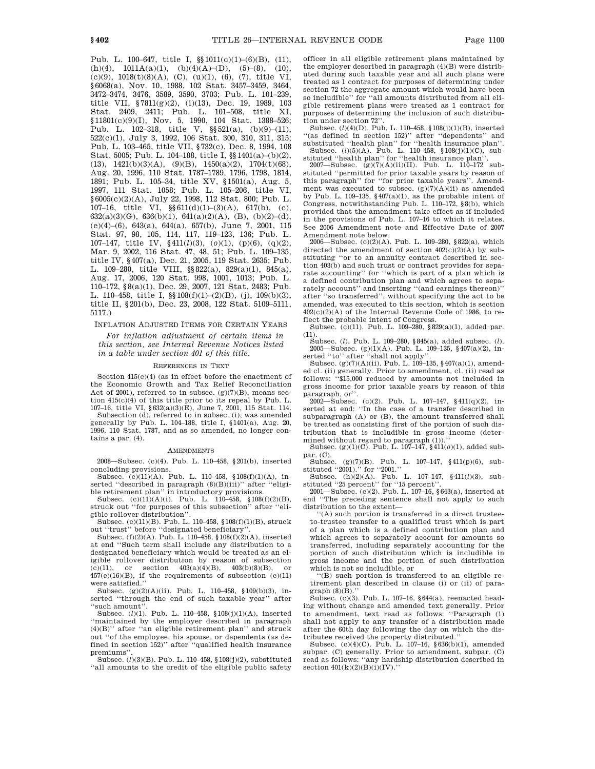Pub. L. 100–647, title I, §§1011(c)(1)–(6)(B), (11), (h)(4),  $1011A(a)(1)$ , (b)(4)(A)–(D), (5)–(8), (10), (c)(9), 1018(t)(8)(A), (C), (u)(1), (6), (7), title VI, §6068(a), Nov. 10, 1988, 102 Stat. 3457–3459, 3464, 3472–3474, 3476, 3589, 3590, 3703; Pub. L. 101–239, title VII, §7811(g)(2), (i)(13), Dec. 19, 1989, 103 Stat. 2409, 2411; Pub. L. 101–508, title XI, §11801(c)(9)(I), Nov. 5, 1990, 104 Stat. 1388-526; Pub. L.  $102-318$ , title V,  $\S521(a)$ ,  $(b)(9)-(11)$ , 522(c)(1), July 3, 1992, 106 Stat. 300, 310, 311, 315; Pub. L. 103–465, title VII, §732(c), Dec. 8, 1994, 108 Stat. 5005; Pub. L. 104–188, title I, §§1401(a)–(b)(2),  $(13)$ ,  $1421(b)(3)(A)$ ,  $(9)(B)$ ,  $1450(a)(2)$ ,  $1704(t)(68)$ , Aug. 20, 1996, 110 Stat. 1787–1789, 1796, 1798, 1814, 1891; Pub. L. 105–34, title XV, §1501(a), Aug. 5, 1997, 111 Stat. 1058; Pub. L. 105–206, title VI, §6005(c)(2)(A), July 22, 1998, 112 Stat. 800; Pub. L. 107–16, title VI,  $\frac{\$611(d)(1)-(3)(A)}{617(b)}$ , (c), 632(a)(3)(G), 636(b)(1), 641(a)(2)(A), (B), (b)(2)–(d), (e)(4)–(6), 643(a), 644(a), 657(b), June 7, 2001, 115 Stat. 97, 98, 105, 114, 117, 119–123, 136; Pub. L. 107–147, title IV, §411(*l*)(3), (*o*)(1), (p)(6), (q)(2), Mar. 9, 2002, 116 Stat. 47, 48, 51; Pub. L. 109–135, title IV, §407(a), Dec. 21, 2005, 119 Stat. 2635; Pub. L. 109–280, title VIII, §§822(a), 829(a)(1), 845(a), Aug. 17, 2006, 120 Stat. 998, 1001, 1013; Pub. L. 110–172, §8(a)(1), Dec. 29, 2007, 121 Stat. 2483; Pub. L. 110–458, title I, §§108(f)(1)–(2)(B), (j), 109(b)(3), title II, §201(b), Dec. 23, 2008, 122 Stat. 5109–5111, 5117.)

INFLATION ADJUSTED ITEMS FOR CERTAIN YEARS

*For inflation adjustment of certain items in this section, see Internal Revenue Notices listed in a table under section 401 of this title.*

#### REFERENCES IN TEXT

Section 415(c)(4) (as in effect before the enactment of the Economic Growth and Tax Relief Reconciliation Act of 2001), referred to in subsec.  $(g)(7)(B)$ , means section 415(c)(4) of this title prior to its repeal by Pub. L. 107–16, title VI, §632(a)(3)(E), June 7, 2001, 115 Stat. 114.

Subsection (d), referred to in subsec. (i), was amended generally by Pub. L. 104–188, title I, §1401(a), Aug. 20, 1996, 110 Stat. 1787, and as so amended, no longer contains a par. (4).

#### **AMENDMENTS**

2008—Subsec. (c)(4). Pub. L. 110–458, §201(b), inserted concluding provisions.

Subsec. (c)(11)(A). Pub. L. 110–458, §108(f)(1)(A), inserted "described in paragraph (8)(B)(iii)" after "eligible retirement plan'' in introductory provisions.

Subsec.  $(c)(11)(A)(i)$ . Pub. L. 110–458, §108 $(f)(2)(B)$ , struck out ''for purposes of this subsection'' after ''eligible rollover distribution''.

Subsec. (c)(11)(B). Pub. L. 110–458, §108(f)(1)(B), struck out ''trust'' before ''designated beneficiary''.

Subsec. (f)(2)(A). Pub. L. 110–458, §108(f)(2)(A), inserted at end ''Such term shall include any distribution to a designated beneficiary which would be treated as an eligible rollover distribution by reason of subsection (c)(11), or section  $403(a)(4)(B)$ ,  $403(b)(8)(B)$ , or  $457(e)(16)(B)$ , if the requirements of subsection  $(c)(11)$ were satisfied.''

Subsec. (g)(2)(A)(ii). Pub. L. 110–458, §109(b)(3), inserted "through the end of such taxable year" after ''such amount''.

Subsec. (*l*)(1). Pub. L. 110–458, §108(j)(1)(A), inserted ''maintained by the employer described in paragraph (4)(B)'' after ''an eligible retirement plan'' and struck out ''of the employee, his spouse, or dependents (as defined in section 152)'' after ''qualified health insurance premiums''.

Subsec. (*l*)(3)(B). Pub. L. 110–458, §108(j)(2), substituted ''all amounts to the credit of the eligible public safety officer in all eligible retirement plans maintained by the employer described in paragraph (4)(B) were distributed during such taxable year and all such plans were treated as 1 contract for purposes of determining under section 72 the aggregate amount which would have been so includible'' for ''all amounts distributed from all eligible retirement plans were treated as 1 contract for purposes of determining the inclusion of such distribution under section 72''.

Subsec. (*l*)(4)(D). Pub. L. 110–458, §108(j)(1)(B), inserted ''(as defined in section 152)'' after ''dependents'' and substituted "health plan" for "health insurance plan" Subsec. (*l*)(5)(A). Pub. L. 110–458, §108(j)(1)(C), sub-

stituted ''health plan'' for ''health insurance plan''. 2007—Subsec. (g)(7)(A)(ii)(II). Pub. L. 110–172 substituted ''permitted for prior taxable years by reason of this paragraph'' for ''for prior taxable years''. Amendment was executed to subsec.  $(g)(7)(A)(ii)$  as amended by Pub. L. 109–135,  $§$ 407(a)(1), as the probable intent of Congress, notwithstanding Pub. L. 110–172, §8(b), which provided that the amendment take effect as if included in the provisions of Pub. L. 107–16 to which it relates. See 2006 Amendment note and Effective Date of 2007 Amendment note below.

2006—Subsec. (c)(2)(A). Pub. L. 109–280, §822(a), which directed the amendment of section  $402(c)(2)(A)$  by substituting ''or to an annuity contract described in section 403(b) and such trust or contract provides for separate accounting'' for ''which is part of a plan which is a defined contribution plan and which agrees to separately account" and inserting "(and earnings thereon)" after ''so transferred'', without specifying the act to be amended, was executed to this section, which is section 402(c)(2)(A) of the Internal Revenue Code of 1986, to reflect the probable intent of Congress.

Subsec. (c)(11). Pub. L. 109–280, §829(a)(1), added par. (11).

Subsec. (*l*). Pub. L. 109–280, §845(a), added subsec. (*l*). 2005—Subsec. (g)(1)(A). Pub. L. 109–135, §407(a)(2), inserted ''to'' after ''shall not apply''. Subsec. (g)(7)(A)(ii). Pub. L. 109–135, §407(a)(1), amend-

ed cl. (ii) generally. Prior to amendment, cl. (ii) read as follows: ''\$15,000 reduced by amounts not included in gross income for prior taxable years by reason of this paragraph, or''.

2002—Subsec. (c)(2). Pub. L. 107–147, §411(q)(2), inserted at end: ''In the case of a transfer described in subparagraph (A) or (B), the amount transferred shall be treated as consisting first of the portion of such distribution that is includible in gross income (determined without regard to paragraph (1)).'' Subsec. (g)(1)(C). Pub. L. 107–147, §411(*o*)(1), added sub-

par. (C).

Subsec. (g)(7)(B). Pub. L. 107–147, §411(p)(6), substituted ''2001).'' for ''2001.''

Subsec. (h)(2)(A). Pub. L. 107–147, §411(*l*)(3), substituted ''25 percent'' for ''15 percent''. 2001—Subsec. (c)(2). Pub. L. 107–16, §643(a), inserted at

end ''The preceding sentence shall not apply to such distribution to the extent—

''(A) such portion is transferred in a direct trusteeto-trustee transfer to a qualified trust which is part of a plan which is a defined contribution plan and which agrees to separately account for amounts so transferred, including separately accounting for the portion of such distribution which is includible in gross income and the portion of such distribution which is not so includible, or

''(B) such portion is transferred to an eligible retirement plan described in clause (i) or (ii) of paragraph (8)(B).''

Subsec. (c)(3). Pub. L. 107–16, §644(a), reenacted heading without change and amended text generally. Prior to amendment, text read as follows: ''Paragraph (1) shall not apply to any transfer of a distribution made after the 60th day following the day on which the distributee received the property distributed.''

Subsec. (c)(4)(C). Pub. L.  $107-16$ , §636(b)(1), amended subpar. (C) generally. Prior to amendment, subpar. (C) read as follows: ''any hardship distribution described in section  $401(k)(2)(B)(i)(IV)$ .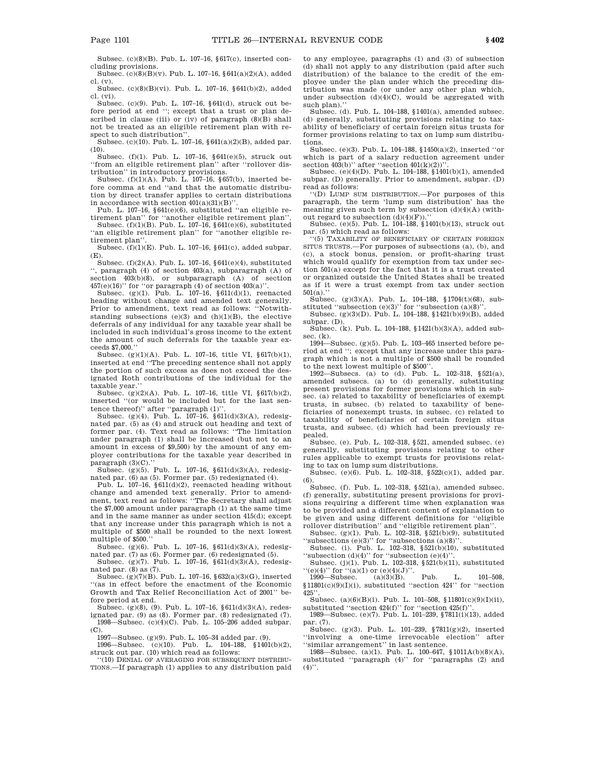Subsec. (c)(8)(B). Pub. L. 107–16, §617(c), inserted concluding provisions.

Subsec. (c)(8)(B)(v). Pub. L. 107–16, §641(a)(2)(A), added cl. (v).

Subsec. (c)(8)(B)(vi). Pub. L. 107–16, §641(b)(2), added cl. (vi).

Subsec. (c)(9). Pub. L. 107–16, §641(d), struck out before period at end ''; except that a trust or plan described in clause (iii) or  $(iv)$  of paragraph  $(8)(B)$  shall not be treated as an eligible retirement plan with respect to such distribution''.

Subsec. (c)(10). Pub. L. 107–16, §641(a)(2)(B), added par.  $(10).$ 

Subsec. (f)(1). Pub. L. 107–16, §641(e)(5), struck out ''from an eligible retirement plan'' after ''rollover distribution'' in introductory provisions.

Subsec. (f)(1)(A). Pub. L. 107–16, §657(b), inserted before comma at end ''and that the automatic distribution by direct transfer applies to certain distributions in accordance with section  $401(a)(31)(B)$ ".

Pub. L. 107–16, §641(e)(6), substituted ''an eligible retirement plan'' for ''another eligible retirement plan''. Subsec. (f)(1)(B). Pub. L. 107–16, §641(e)(6), substituted

''an eligible retirement plan'' for ''another eligible retirement plan''. Subsec. (f)(1)(E). Pub. L. 107–16, §641(c), added subpar.

(E). Subsec. (f)(2)(A). Pub. L. 107–16, §641(e)(4), substituted

'', paragraph (4) of section 403(a), subparagraph (A) of section 403(b)(8), or subparagraph (A) of section  $457(e)(16)$ " for "or paragraph (4) of section  $403(a)$ ".

Subsec. (g)(1). Pub. L. 107–16,  $\$ 611(d)(1), reenacted heading without change and amended text generally. Prior to amendment, text read as follows: ''Notwithstanding subsections  $(e)(3)$  and  $(h)(1)(B)$ , the elective deferrals of any individual for any taxable year shall be included in such individual's gross income to the extent the amount of such deferrals for the taxable year exceeds \$7,000.''

Subsec. (g)(1)(A). Pub. L. 107–16, title VI, §617(b)(1), inserted at end ''The preceding sentence shall not apply the portion of such excess as does not exceed the designated Roth contributions of the individual for the taxable year.

Subsec. (g)(2)(A). Pub. L. 107–16, title VI, §617(b)(2), inserted ''(or would be included but for the last sentence thereof)'' after ''paragraph (1)''.

Subsec. (g)(4). Pub. L. 107-16, §611(d)(3)(A), redesignated par. (5) as (4) and struck out heading and text of former par. (4). Text read as follows: ''The limitation under paragraph (1) shall be increased (but not to an amount in excess of \$9,500) by the amount of any employer contributions for the taxable year described in paragraph (3)(C).

Subsec. (g)(5). Pub. L. 107–16, §611(d)(3)(A), redesignated par. (6) as (5). Former par. (5) redesignated (4). Pub. L. 107–16, §611(d)(2), reenacted heading without

change and amended text generally. Prior to amendment, text read as follows: ''The Secretary shall adjust the \$7,000 amount under paragraph (1) at the same time and in the same manner as under section 415(d); except that any increase under this paragraph which is not a multiple of \$500 shall be rounded to the next lowest multiple of \$500.''

Subsec. (g)(6). Pub. L. 107–16, §611(d)(3)(A), redesignated par. (7) as (6). Former par. (6) redesignated (5). Subsec. (g)(7). Pub. L. 107–16, §611(d)(3)(A), redesig-

nated par. (8) as (7).

Subsec.  $(g)(7)(B)$ . Pub. L. 107–16, §632(a)(3)(G), inserted ''(as in effect before the enactment of the Economic Growth and Tax Relief Reconciliation Act of 2001'' before period at end.

Subsec. (g)(8), (9). Pub. L. 107–16, §611(d)(3)(A), redesignated par. (9) as (8). Former par. (8) redesignated (7). 1998—Subsec. (c)(4)(C). Pub. L. 105–206 added subpar.

(C). 1997—Subsec. (g)(9). Pub. L. 105–34 added par. (9).

1996—Subsec. (c)(10). Pub. L. 104–188, §1401(b)(2), struck out par. (10) which read as follows:

''(10) DENIAL OF AVERAGING FOR SUBSEQUENT DISTRIBU-TIONS.—If paragraph (1) applies to any distribution paid to any employee, paragraphs (1) and (3) of subsection (d) shall not apply to any distribution (paid after such distribution) of the balance to the credit of the employee under the plan under which the preceding distribution was made (or under any other plan which, under subsection (d)(4)(C), would be aggregated with such plan).'

Subsec. (d). Pub. L. 104–188, §1401(a), amended subsec. (d) generally, substituting provisions relating to taxability of beneficiary of certain foreign situs trusts for former provisions relating to tax on lump sum distributions.

Subsec. (e)(3). Pub. L. 104–188, §1450(a)(2), inserted ''or which is part of a salary reduction agreement under section  $403(b)$ " after "section  $401(k)(2)$ )

Subsec. (e)(4)(D). Pub. L. 104–188, §1401(b)(1), amended subpar. (D) generally. Prior to amendment, subpar. (D) read as follows:

''(D) LUMP SUM DISTRIBUTION.—For purposes of this paragraph, the term 'lump sum distribution' has the meaning given such term by subsection (d)(4)(A) (without regard to subsection  $(d)(4)(F)$ .

Subsec. (e)(5). Pub. L. 104–188, §1401(b)(13), struck out

par. (5) which read as follows:<br>
"(5) TAXABILITY OF BENEFICIARY OF CERTAIN FOREIGN SITUS TRUSTS.—For purposes of subsections (a), (b), and (c), a stock bonus, pension, or profit-sharing trust which would qualify for exemption from tax under section 501(a) except for the fact that it is a trust created or organized outside the United States shall be treated as if it were a trust exempt from tax under section  $501(a)$ .

Subsec. (g)(3)(A). Pub. L. 104–188, §1704(t)(68), substituted "subsection (e)(3)" for "subsection (a)(8)".<br>Subsec. (g)(3)(D). Pub. L. 104–188, §1421(b)(9)(B), added

subpar. (D).

Subsec. (k). Pub. L. 104–188, §1421(b)(3)(A), added subsec.  $(k)$ .

1994—Subsec. (g)(5). Pub. L. 103–465 inserted before period at end ''; except that any increase under this paragraph which is not a multiple of \$500 shall be rounded to the next lowest multiple of \$500''.

1992—Subsecs. (a) to (d). Pub. L. 102–318, §521(a), amended subsecs. (a) to (d) generally, substituting present provisions for former provisions which in subsec. (a) related to taxability of beneficiaries of exempt trusts, in subsec. (b) related to taxability of beneficiaries of nonexempt trusts, in subsec. (c) related to taxability of beneficiaries of certain foreign situs trusts, and subsec. (d) which had been previously repealed.

Subsec. (e). Pub. L. 102–318, §521, amended subsec. (e) generally, substituting provisions relating to other rules applicable to exempt trusts for provisions relat-

ing to tax on lump sum distributions. Subsec. (e)(6). Pub. L. 102–318, §522(c)(1), added par. (6).

Subsec. (f). Pub. L. 102-318,  $\S 521(a)$ , amended subsec. (f) generally, substituting present provisions for provisions requiring a different time when explanation was to be provided and a different content of explanation to be given and using different definitions for ''eligible rollover distribution'' and ''eligible retirement plan''.

Subsec.  $(g)(1)$ . Pub. L. 102–318,  $\S 521(b)(9)$ , substituted "subsections  $(e)(3)$ " for "subsections  $(a)(8)$ "

Subsec. (i). Pub. L. 102–318, §521(b)(10), substituted "subsection  $(d)(4)$ " for "subsection  $(e)(4)$ "

Subsec. (j)(1). Pub. L. 102–318, §521(b)(11), substituted  $\begin{array}{ll}\n\text{``(e)(4)''} for \text{``(a)(1) or (e)(4)(J)''.} \\
\text{1990—Subsec.} & \text{(a)(3)(B).} \qquad \text{Pub.} \qquad \text{L.} \qquad \text{101-508,} \n\end{array}$ 

§11801(c)(9)(I)(i), substituted ''section 424'' for ''section  $425'$ 

Subsec. (a)(6)(B)(i). Pub. L. 101–508, §11801(c)(9)(I)(ii), substituted "section  $424(f)$ " for "section  $425(f)$ ".

1989—Subsec. (e)(7). Pub. L. 101–239, §7811(i)(13), added par. (7).

Subsec. (g)(3). Pub. L. 101–239, §7811(g)(2), inserted ''involving a one-time irrevocable election'' after ''similar arrangement'' in last sentence.

1988—Subsec. (a)(1). Pub. L. 100–647, §1011A(b)(8)(A), substituted ''paragraph (4)'' for ''paragraphs (2) and  $(4)$ <sup>"</sup>.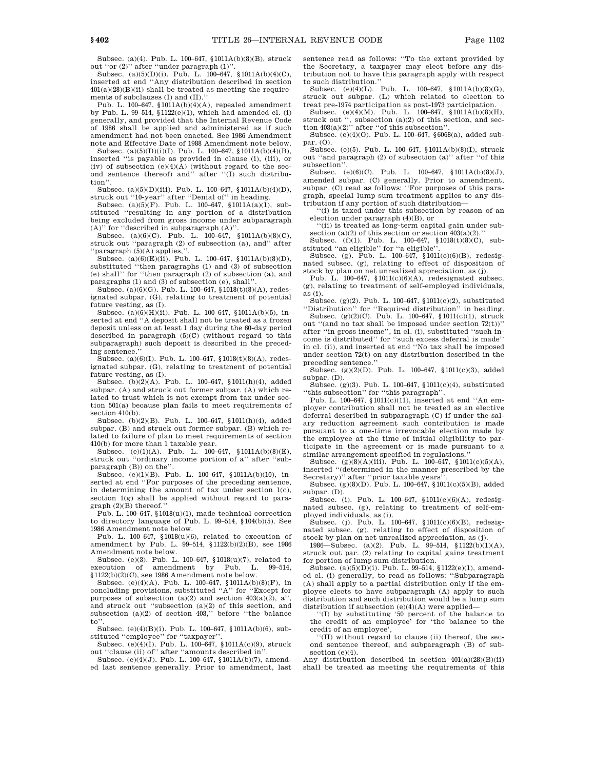Subsec. (a)(4). Pub. L. 100–647, §1011A(b)(8)(B), struck out ''or (2)'' after ''under paragraph (1)''.

Subsec. (a)(5)(D)(i). Pub. L. 100–647, §1011A(b)(4)(C), inserted at end ''Any distribution described in section  $401(a)(28)(B)(ii)$  shall be treated as meeting the requirements of subclauses (I) and (II).''

Pub. L. 100–647, §1011A(b)(4)(A), repealed amendment by Pub. L. 99–514, §1122(e)(1), which had amended cl. (i) generally, and provided that the Internal Revenue Code of 1986 shall be applied and administered as if such amendment had not been enacted. See 1986 Amendment note and Effective Date of 1988 Amendment note below.

Subsec. (a)(5)(D)(i)(I). Pub. L. 100–647, §1011A(b)(4)(B), inserted ''is payable as provided in clause (i), (iii), or (iv) of subsection  $(e)(4)(A)$  (without regard to the second sentence thereof) and'' after ''(I) such distribution''.

Subsec. (a)(5)(D)(iii). Pub. L. 100–647, §1011A(b)(4)(D), struck out ''10-year'' after ''Denial of'' in heading.

Subsec. (a)(5)(F). Pub. L. 100–647, §1011A(a)(1), substituted ''resulting in any portion of a distribution being excluded from gross income under subparagraph (A)'' for ''described in subparagraph (A)''.

Subsec. (a)(6)(C). Pub. L.  $100-647$ , §1011A(b)(8)(C), struck out ''paragraph (2) of subsection (a), and'' after 'paragraph (5)(A) applies,'

Subsec. (a)(6)(E)(ii). Pub. L. 100–647, §1011A(b)(8)(D), substituted ''then paragraphs (1) and (3) of subsection (e) shall'' for ''then paragraph (2) of subsection (a), and paragraphs (1) and (3) of subsection (e), shall'

Subsec. (a)(6)(G). Pub. L. 100–647, §1018(t)(8)(A), redesignated subpar. (G), relating to treatment of potential future vesting, as (I).

Subsec. (a)(6)(H)(ii). Pub. L. 100–647, §1011A(b)(5), inserted at end ''A deposit shall not be treated as a frozen deposit unless on at least 1 day during the 60-day period described in paragraph (5)(C) (without regard to this subparagraph) such deposit is described in the preceding sentence.''

Subsec. (a)(6)(I). Pub. L. 100–647, §1018(t)(8)(A), redesignated subpar. (G), relating to treatment of potential future vesting, as (I).

Subsec. (b)(2)(A). Pub. L. 100–647, §1011(h)(4), added subpar. (A) and struck out former subpar. (A) which related to trust which is not exempt from tax under section 501(a) because plan fails to meet requirements of section 410(b).

Subsec. (b)(2)(B). Pub. L. 100–647, §1011(h)(4), added subpar. (B) and struck out former subpar. (B) which related to failure of plan to meet requirements of section 410(b) for more than 1 taxable year.

Subsec. (e)(1)(A). Pub. L.  $100-647$ ,  $$1011A(b)(8)(E)$ , struck out "ordinary income portion of a" after "subparagraph (B)) on the'

Subsec. (e)(1)(B). Pub. L. 100–647, §1011A(b)(10), inserted at end ''For purposes of the preceding sentence, in determining the amount of tax under section 1(c), section 1(g) shall be applied without regard to paragraph (2)(B) thereof.''

Pub. L. 100–647, §1018(u)(1), made technical correction to directory language of Pub. L. 99–514, §104(b)(5). See 1986 Amendment note below.

Pub. L. 100–647, §1018(u)(6), related to execution of amendment by Pub. L. 99–514, §1122(b)(2)(B), see 1986 Amendment note below.

Subsec. (e)(3). Pub. L. 100–647, §1018(u)(7), related to execution of amendment by Pub. L. 99–514,  $$1122(b)(2)(C)$ , see 1986 Amendment note below.

Subsec. (e)(4)(A). Pub. L. 100–647, §1011A(b)(8)(F), in concluding provisions, substituted ''A'' for ''Except for purposes of subsection (a)(2) and section  $403(a)(2)$ , a'' and struck out ''subsection (a)(2) of this section, and subsection (a)(2) of section 403,'' before ''the balance to''.

Subsec. (e)(4)(B)(i). Pub. L. 100–647, §1011A(b)(6), substituted ''employee'' for ''taxpayer''.

Subsec. (e)(4)(I). Pub. L. 100–647, §1011A(c)(9), struck out ''clause (ii) of'' after ''amounts described in''.

Subsec. (e)(4)(J). Pub. L. 100–647, §1011A(b)(7), amended last sentence generally. Prior to amendment, last sentence read as follows: ''To the extent provided by the Secretary, a taxpayer may elect before any distribution not to have this paragraph apply with respect to such distribution.''

Subsec. (e)(4)(L). Pub. L. 100–647, §1011A(b)(8)(G), struck out subpar. (L) which related to election to

treat pre-1974 participation as post-1973 participation. Subsec. (e)(4)(M). Pub. L. 100–647, §1011A(b)(8)(H), struck out '', subsection (a)(2) of this section, and section 403(a)(2)'' after ''of this subsection''.

Subsec.  $(e)(4)(0)$ . Pub. L. 100–647, §6068(a), added subpar. (O).

Subsec. (e)(5). Pub. L. 100–647, §1011A(b)(8)(I), struck out ''and paragraph (2) of subsection (a)'' after ''of this subsection''.

Subsec. (e)(6)(C). Pub. L. 100–647, §1011A(b)(8)(J), amended subpar. (C) generally. Prior to amendment, subpar. (C) read as follows: ''For purposes of this paragraph, special lump sum treatment applies to any distribution if any portion of such distribution—

'(i) is taxed under this subsection by reason of an election under paragraph (4)(B), or

'(ii) is treated as long-term capital gain under subsection (a)(2) of this section or section  $403(a)(2)$ ."

Subsec. (f)(1). Pub. L. 100–647, §1018(t)(8)(C), substituted ''an eligible'' for ''a eligible''.

Subsec. (g). Pub. L. 100-647, §1011(c)(6)(B), redesignated subsec. (g), relating to effect of disposition of stock by plan on net unrealized appreciation, as (j).

Pub. L. 100–647, §1011(c)(6)(A), redesignated subsec. (g), relating to treatment of self-employed individuals, as (i).

Subsec. (g)(2). Pub. L. 100–647, §1011(c)(2), substituted ''Distribution'' for ''Required distribution'' in heading. Subsec. (g)(2)(C). Pub. L. 100–647, §1011(c)(1), struck

out "(and no tax shall be imposed under section  $72(t)$ )" after ''in gross income'', in cl. (i), substituted ''such income is distributed'' for ''such excess deferral is made'' in cl. (ii), and inserted at end ''No tax shall be imposed under section 72(t) on any distribution described in the preceding sentence.'

Subsec. (g)(2)(D). Pub. L. 100–647, §1011(c)(3), added subpar. (D).

Subsec. (g)(3). Pub. L. 100–647, §1011(c)(4), substituted ''this subsection'' for ''this paragraph''.

Pub. L. 100–647, §1011(c)(11), inserted at end ''An employer contribution shall not be treated as an elective deferral described in subparagraph (C) if under the salary reduction agreement such contribution is made pursuant to a one-time irrevocable election made by the employee at the time of initial eligibility to participate in the agreement or is made pursuant to a similar arrangement specified in regulations.

Subsec.  $(g)(8)(A)(iii)$ . Pub. L.  $100-647$ , §1011(c)(5)(A), inserted ''(determined in the manner prescribed by the Secretary)'' after ''prior taxable years''.

Subsec. (g)(8)(D). Pub. L. 100–647, §1011(c)(5)(B), added subpar. (D).

Subsec. (i). Pub. L. 100–647, §1011(c)(6)(A), redesignated subsec. (g), relating to treatment of self-employed individuals, as (i).

Subsec. (j). Pub. L. 100–647, §1011(c)(6)(B), redesignated subsec. (g), relating to effect of disposition of stock by plan on net unrealized appreciation, as (j).

1986—Subsec. (a)(2). Pub. L. 99–514, §1122(b)(1)(A), struck out par. (2) relating to capital gains treatment for portion of lump sum distribution.

Subsec. (a)(5)(D)(i). Pub. L. 99-514, §1122(e)(1), amended cl. (i) generally, to read as follows: ''Subparagraph (A) shall apply to a partial distribution only if the employee elects to have subparagraph (A) apply to such distribution and such distribution would be a lump sum distribution if subsection (e)(4)(A) were applied—

''(I) by substituting '50 percent of the balance to the credit of an employee' for 'the balance to the credit of an employee',

''(II) without regard to clause (ii) thereof, the second sentence thereof, and subparagraph (B) of subsection (e)(4).

Any distribution described in section 401(a)(28)(B)(ii) shall be treated as meeting the requirements of this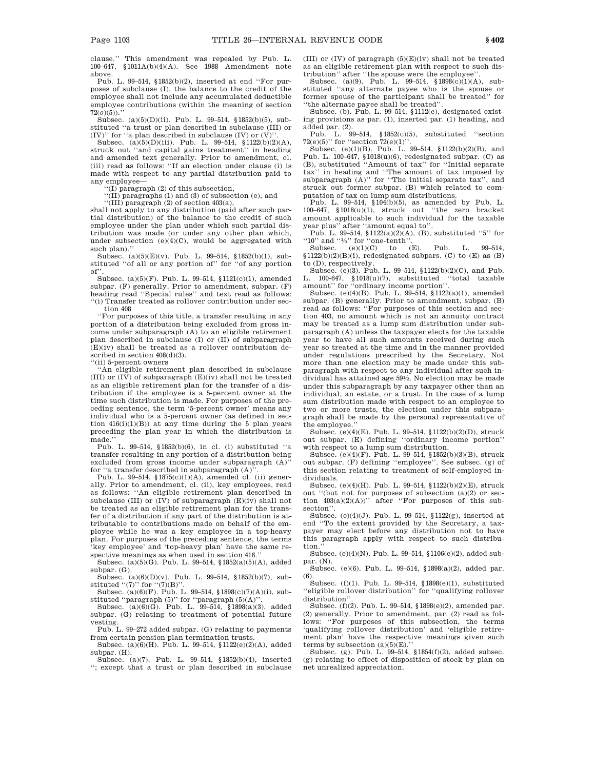clause.'' This amendment was repealed by Pub. L. 100–647, §1011A(b)(4)(A). See 1988 Amendment note above.

Pub. L. 99–514, §1852(b)(2), inserted at end ''For purposes of subclause (I), the balance to the credit of the employee shall not include any accumulated deductible employee contributions (within the meaning of section 72(*o*)(5)).''

Subsec. (a)(5)(D)(ii). Pub. L. 99–514, §1852(b)(5), substituted ''a trust or plan described in subclause (III) or (IV)" for "a plan described in subclause (IV) or  $(V)$ ".

Subsec. (a)(5)(D)(iii). Pub. L. 99–514, §1122(b)(2)(A), struck out ''and capital gains treatment'' in heading and amended text generally. Prior to amendment, cl. (iii) read as follows: ''If an election under clause (i) is made with respect to any partial distribution paid to any employee—

'(I) paragraph (2) of this subsection,

''(II) paragraphs (1) and (3) of subsection (e), and

''(III) paragraph (2) of section 403(a),

shall not apply to any distribution (paid after such partial distribution) of the balance to the credit of such employee under the plan under which such partial distribution was made (or under any other plan which, under subsection (e)(4)(C), would be aggregated with such plan).''

Subsec. (a)(5)(E)(v). Pub. L. 99–514, §1852(b)(1), substituted ''of all or any portion of'' for ''of any portion of''.

Subsec. (a)(5)(F). Pub. L. 99–514, §1121(c)(1), amended subpar. (F) generally. Prior to amendment, subpar. (F) heading read ''Special rules'' and text read as follows: ''(i) Transfer treated as rollover contribution under section 408

''For purposes of this title, a transfer resulting in any portion of a distribution being excluded from gross income under subparagraph (A) to an eligible retirement plan described in subclause (I) or (II) of subparagraph (E)(iv) shall be treated as a rollover contribution described in section  $408(d)(3)$ .

''(ii) 5-percent owners

'An eligible retirement plan described in subclause (III) or (IV) of subparagraph (E)(iv) shall not be treated as an eligible retirement plan for the transfer of a distribution if the employee is a 5-percent owner at the time such distribution is made. For purposes of the preceding sentence, the term '5-percent owner' means any individual who is a 5-percent owner (as defined in section  $416(i)(1)(B)$  at any time during the 5 plan years preceding the plan year in which the distribution is made.''

Pub. L. 99–514, §1852(b)(6), in cl. (i) substituted ''a transfer resulting in any portion of a distribution being excluded from gross income under subparagraph  $(A)$ <sup>"</sup> for "a transfer described in subparagraph  $(\mathtt{A})$  "

Pub. L. 99–514, §1875(c)(1)(A), amended cl. (ii) generally. Prior to amendment, cl. (ii), key employees, read as follows: ''An eligible retirement plan described in subclause (III) or  $({\rm IV})$  of subparagraph  $({\rm E})(\rm iv)$  shall not be treated as an eligible retirement plan for the transfer of a distribution if any part of the distribution is attributable to contributions made on behalf of the employee while he was a key employee in a top-heavy plan. For purposes of the preceding sentence, the terms 'key employee' and 'top-heavy plan' have the same respective meanings as when used in section 416.

Subsec. (a)(5)(G). Pub. L. 99–514, §1852(a)(5)(A), added subpar. (G).

Subsec.  $(a)(6)(D)(v)$ . Pub. L. 99-514, §1852(b)(7), substituted  $''(7)$ " for  $''(7)(B)$ "

Subsec. (a)(6)(F). Pub. L. 99–514, §1898(c)(7)(A)(i), substituted "paragraph  $(5)$ " for "paragraph  $(5)(A)$ "

Subsec. (a)(6)(G). Pub. L. 99–514, §1898(a)(3), added subpar. (G) relating to treatment of potential future vesting.

Pub. L. 99–272 added subpar. (G) relating to payments from certain pension plan termination trusts.

Subsec. (a)(6)(H). Pub. L. 99–514, §1122(e)(2)(A), added subpar. (H).

Subsec. (a)(7). Pub. L. 99–514, §1852(b)(4), inserted ''; except that a trust or plan described in subclause (III) or (IV) of paragraph (5)(E)(iv) shall not be treated as an eligible retirement plan with respect to such distribution'' after ''the spouse were the employee''.

Subsec. (a)(9). Pub. L. 99-514,  $$1898C(t)(1)(A)$ , substituted ''any alternate payee who is the spouse or former spouse of the participant shall be treated'' for ''the alternate payee shall be treated''.

Subsec. (b). Pub. L. 99–514, §1112(c), designated existing provisions as par. (1), inserted par. (1) heading, and added par. (2). Pub. L. 99–514, §1852(c)(5), substituted ''section

 $72(e)(5)$ " for "section  $72(e)(1)$ ".<br>Subsec. (e)(1)(B). Pub. L. 99–514, §1122(b)(2)(B), and

Pub. L. 100–647,  $$1018(u)(6)$ , redesignated subpar. (C) as (B), substituted ''Amount of tax'' for ''Initial separate tax'' in heading and ''The amount of tax imposed by subparagraph (A)'' for ''The initial separate tax'', and struck out former subpar. (B) which related to computation of tax on lump sum distributions.

Pub. L. 99–514, §104(b)(5), as amended by Pub. L. 100–647, §1018(u)(1), struck out ''the zero bracket amount applicable to such individual for the taxable year plus" after "amount equal to". after "amount equal to".

Pub. L. 99-514,  $1122(a)(2)(A)$ , (B), substituted "5" for " $10$ " and "'/<sub>5</sub>" for "one-tenth".<br>Subsec. (e)(1)(C) to (E). Pub. L. 99-514,

 $$1122(b)(2)(B)(i)$ , redesignated subpars. (C) to (E) as (B) to (D), respectively.

Subsec. (e)(3). Pub. L. 99–514, §1122(b)(2)(C), and Pub. L. 100-647, §1018(u)(7), substituted ''total taxable amount'' for ''ordinary income portion''.

Subsec. (e)(4)(B). Pub. L. 99–514, §1122(a)(1), amended subpar. (B) generally. Prior to amendment, subpar. (B) read as follows: ''For purposes of this section and section 403, no amount which is not an annuity contract may be treated as a lump sum distribution under subparagraph (A) unless the taxpayer elects for the taxable year to have all such amounts received during such year so treated at the time and in the manner provided under regulations prescribed by the Secretary. Not more than one election may be made under this subparagraph with respect to any individual after such individual has attained age 591 ⁄2. No election may be made under this subparagraph by any taxpayer other than an individual, an estate, or a trust. In the case of a lump sum distribution made with respect to an employee to two or more trusts, the election under this subparagraph shall be made by the personal representative of the employee.''

Subsec. (e)(4)(E). Pub. L. 99–514, §1122(b)(2)(D), struck out subpar. (E) defining ''ordinary income portion'' with respect to a lump sum distribution.

Subsec. (e)(4)(F). Pub. L. 99–514, §1852(b)(3)(B), struck out subpar. (F) defining ''employee''. See subsec. (g) of this section relating to treatment of self-employed individuals.

Subsec. (e)(4)(H). Pub. L. 99–514, §1122(b)(2)(E), struck out ''(but not for purposes of subsection (a)(2) or section  $403(a)(2)(A))$ " after "For purposes of this subsection''.

Subsec. (e)(4)(J). Pub. L. 99–514, §1122(g), inserted at end ''To the extent provided by the Secretary, a taxpayer may elect before any distribution not to have this paragraph apply with respect to such distribution.

Subsec. (e)(4)(N). Pub. L. 99–514, §1106(c)(2), added subpar. (N).

Subsec. (e)(6). Pub. L. 99–514, §1898(a)(2), added par. (6).

Subsec. (f)(1). Pub. L. 99–514, §1898(e)(1), substituted ''eligible rollover distribution'' for ''qualifying rollover distribution''.

Subsec. (f)(2). Pub. L. 99–514, §1898(e)(2), amended par. (2) generally. Prior to amendment, par. (2) read as follows: ''For purposes of this subsection, the terms 'qualifying rollover distribution' and 'eligible retirement plan' have the respective meanings given such terms by subsection  $(a)(5)(E)$ ."

Subsec. (g). Pub. L. 99–514, §1854(f)(2), added subsec. (g) relating to effect of disposition of stock by plan on net unrealized appreciation.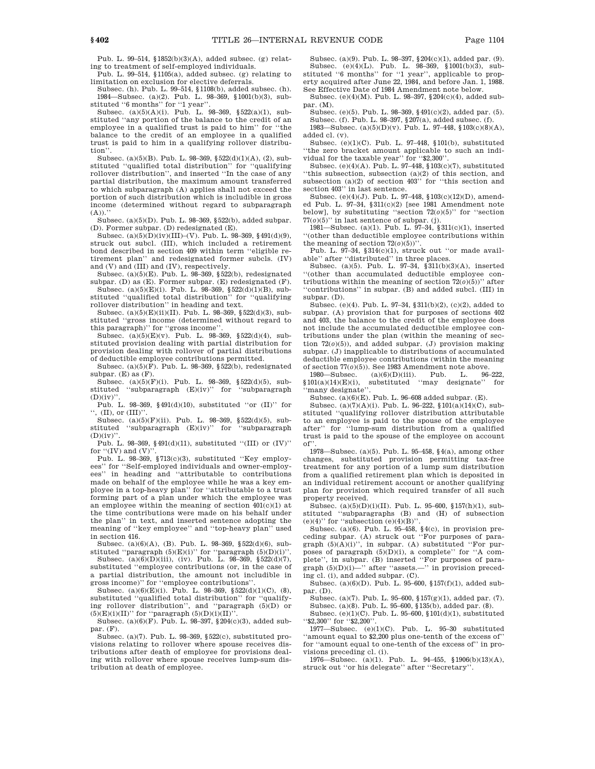Pub. L. 99–514, §1852(b)(3)(A), added subsec. (g) relating to treatment of self-employed individuals.

Pub. L. 99–514, §1105(a), added subsec. (g) relating to limitation on exclusion for elective deferrals.

Subsec. (h). Pub. L. 99–514, §1108(b), added subsec. (h). 1984—Subsec. (a)(2). Pub. L. 98–369, §1001(b)(3), substituted ''6 months'' for ''1 year''.

Subsec. (a)(5)(A)(i). Pub. L. 98–369, §522(a)(1), substituted ''any portion of the balance to the credit of an employee in a qualified trust is paid to him'' for ''the balance to the credit of an employee in a qualified trust is paid to him in a qualifying rollover distribution''.

Subsec. (a)(5)(B). Pub. L. 98–369, §522(d)(1)(A), (2), substituted ''qualified total distribution'' for ''qualifying rollover distribution'', and inserted ''In the case of any partial distribution, the maximum amount transferred to which subparagraph (A) applies shall not exceed the portion of such distribution which is includible in gross income (determined without regard to subparagraph  $(A)$ ).'

Subsec. (a)(5)(D). Pub. L. 98–369, §522(b), added subpar. (D). Former subpar. (D) redesignated (E).

Subsec.  $(a)(5)(D)(iv)(III)$ –(V). Pub. L. 98–369, §491(d)(9), struck out subcl. (III), which included a retirement bond described in section 409 within term ''eligible retirement plan'' and redesignated former subcls. (IV) and (V) and (III) and (IV), respectively.

Subsec. (a)(5)(E). Pub. L.  $98-369$ ,  $$522(b)$ , redesignated subpar. (D) as (E). Former subpar. (E) redesignated (F). Subsec.  $(a)(5)(E)(i)$ . Pub. L. 98-369, §522(d)(1)(B), sub-

stituted ''qualified total distribution'' for ''qualifying rollover distribution'' in heading and text.

Subsec. (a)(5)(E)(ii)(II). Pub. L. 98–369, §522(d)(3), substituted ''gross income (determined without regard to this paragraph)'' for ''gross income''.

Subsec. (a)(5)(E)(v). Pub. L. 98–369, §522(d)(4), substituted provision dealing with partial distribution for provision dealing with rollover of partial distributions of deductible employee contributions permitted.

Subsec. (a)(5)( $\tilde{F}$ ). Pub. L. 98-369, §522(b), redesignated subpar.  $(E)$  as  $(F)$ .

Subsec. (a)(5)(F)(i). Pub. L. 98–369, §522(d)(5), substituted ''subparagraph (E)(iv)'' for ''subparagraph  $(D)(iv)$ "

Pub. L. 98-369, §491(d)(10), substituted "or (II)" for '', (II), or (III)''.

Subsec. (a)(5)(F)(ii). Pub. L. 98–369, §522(d)(5), substituted ''subparagraph (E)(iv)'' for ''subparagraph  $(D)(iv)'$ 

Pub. L. 98-369, §491(d)(11), substituted "(III) or (IV)" for  $``(IV)$  and  $(V)"$ 

Pub. L. 98-369, §713(c)(3), substituted "Key employees'' for ''Self-employed individuals and owner-employees'' in heading and ''attributable to contributions made on behalf of the employee while he was a key employee in a top-heavy plan'' for ''attributable to a trust forming part of a plan under which the employee was an employee within the meaning of section  $401(c)(1)$  at the time contributions were made on his behalf under the plan'' in text, and inserted sentence adopting the meaning of ''key employee'' and ''top-heavy plan'' used in section 416.

Subsec. (a)(6)(A), (B). Pub. L. 98–369, §522(d)(6), substituted "paragraph  $(5)(E)(i)$ " for "paragraph  $(5)(D)(i)$ ". Subsec.  $(a)(6)(D)(iii)$ ,  $(iv)$ . Pub. L. 98-369, §522(d)(7),

substituted ''employee contributions (or, in the case of a partial distribution, the amount not includible in gross income)'' for ''employee contributions''.

Subsec. (a)(6)(E)(i). Pub. L. 98-369, §522(d)(1)(C), (8), substituted ''qualified total distribution'' for ''qualifying rollover distribution'', and ''paragraph (5)(D) or  $(5)(E)(i)(II)$ " for "paragraph  $(5)(D)(i)(II)$ ".

Subsec. (a)(6)(F). Pub. L. 98-397,  $\frac{204(c)}{3}$ , added subpar. (F).

Subsec. (a)(7). Pub. L. 98–369, §522(c), substituted provisions relating to rollover where spouse receives distributions after death of employee for provisions dealing with rollover where spouse receives lump-sum distribution at death of employee.

Subsec. (a)(9). Pub. L. 98–397, §204(c)(1), added par. (9). Subsec. (e)(4)(L). Pub. L. 98–369, §1001(b)(3), substituted ''6 months'' for ''1 year'', applicable to property acquired after June 22, 1984, and before Jan. 1, 1988. See Effective Date of 1984 Amendment note below.

Subsec. (e)(4)(M). Pub. L. 98–397, §204(c)(4), added subpar. (M).

Subsec. (e)(5). Pub. L. 98–369, §491(c)(2), added par. (5). Subsec. (f). Pub. L. 98–397, §207(a), added subsec. (f).

1983—Subsec. (a)(5)(D)(v). Pub. L. 97–448, §103(c)(8)(A), added cl. (v).

Subsec. (e)(1)(C). Pub. L. 97–448, §101(b), substituted ''the zero bracket amount applicable to such an individual for the taxable year'' for ''\$2,300''.

Subsec.  $(e)(4)(A)$ . Pub. L. 97–448, §103(c)(7), substituted ''this subsection, subsection (a)(2) of this section, and subsection (a)(2) of section 403'' for ''this section and section 403'' in last sentence.

Subsec. (e)(4)(J). Pub. L. 97–448, §103(c)(12)(D), amended Pub. L. 97–34, §311(c)(2) [see 1981 Amendment note below], by substituting ''section 72(*o*)(5)'' for ''section  $77(0)(5)$ " in last sentence of subpar. (j).

1981—Subsec. (a)(1). Pub. L. 97–34, §311(c)(1), inserted ''(other than deductible employee contributions within the meaning of section  $72(0)(5)$ <sup>"</sup>

Pub. L. 97-34, §314(c)(1), struck out "or made available'' after ''distributed'' in three places.

Subsec. (a)(5). Pub. L. 97–34, §311(b)(3)(A), inserted ''(other than accumulated deductible employee contributions within the meaning of section  $72(0)(5)$ <sup>"</sup> after ''contributions'' in subpar. (B) and added subcl. (III) in subpar. (D).

Subsec. (e)(4). Pub. L. 97–34, §311(b)(2), (c)(2), added to subpar. (A) provision that for purposes of sections 402 and 403, the balance to the credit of the employee does not include the accumulated deductible employee contributions under the plan (within the meaning of section  $72(0)(5)$ ), and added subpar. (J) provision making subpar. (J) inapplicable to distributions of accumulated deductible employee contributions (within the meaning of section  $77(\rho)(5)$ ). See 1983 Amendment note above.<br>1980—Subsec. (a)(6)(D)(iii). Pub. L. 96–222,

1980—Subsec. (a)(6)(D)(iii). Pub. L. 96–222, §101(a)(14)(E)(i), substituted ''may designate'' for ''many designate''.

Subsec.  $(a)(6)(E)$ . Pub. L. 96–608 added subpar. (E).

Subsec. (a)(7)(A)(i). Pub. L. 96-222,  $$101(a)(14)(C)$ , substituted ''qualifying rollover distribution attributable to an employee is paid to the spouse of the employee after'' for ''lump-sum distribution from a qualified trust is paid to the spouse of the employee on account of''.

1978—Subsec. (a)(5). Pub. L. 95–458, §4(a), among other changes, substituted provision permitting tax-free treatment for any portion of a lump sum distribution from a qualified retirement plan which is deposited in an individual retirement account or another qualifying plan for provision which required transfer of all such property received.

Subsec. (a)(5)(D)(i)(II). Pub. L. 95–600,  $157(h)(1)$ , substituted ''subparagraphs (B) and (H) of subsection  $(e)(4)$ " for "subsection  $(e)(4)(B)$ ".

Subsec. (a)(6). Pub. L. 95-458,  $\S(4c)$ , in provision preceding subpar. (A) struck out ''For purposes of para $graph (5)(A)(i)$ ", in subpar. (A) substituted "For purposes of paragraph  $(5)(D)(i)$ , a complete" for "A complete'', in subpar. (B) inserted ''For purposes of paragraph (5)(D)(i)—'' after ''assets.—'' in provision preceding cl. (i), and added subpar. (C).

Subsec. (a)(6)(D). Pub. L. 95–600, §157(f)(1), added subpar. (D).

Subsec. (a)(7). Pub. L. 95–600, §157(g)(1), added par. (7). Subsec. (a)(8). Pub. L. 95–600, §135(b), added par. (8).

Subsec. (e)(1)(C). Pub. L. 95–600,  $101(d)(1)$  substituted ''\$2,300'' for ''\$2,200''.

1977—Subsec. (e)(1)(C). Pub. L. 95–30 substituted ''amount equal to \$2,200 plus one-tenth of the excess of'' for ''amount equal to one-tenth of the excess of'' in provisions preceding cl. (i).

1976—Subsec. (a)(1). Pub. L. 94–455, §1906(b)(13)(A), struck out ''or his delegate'' after ''Secretary''.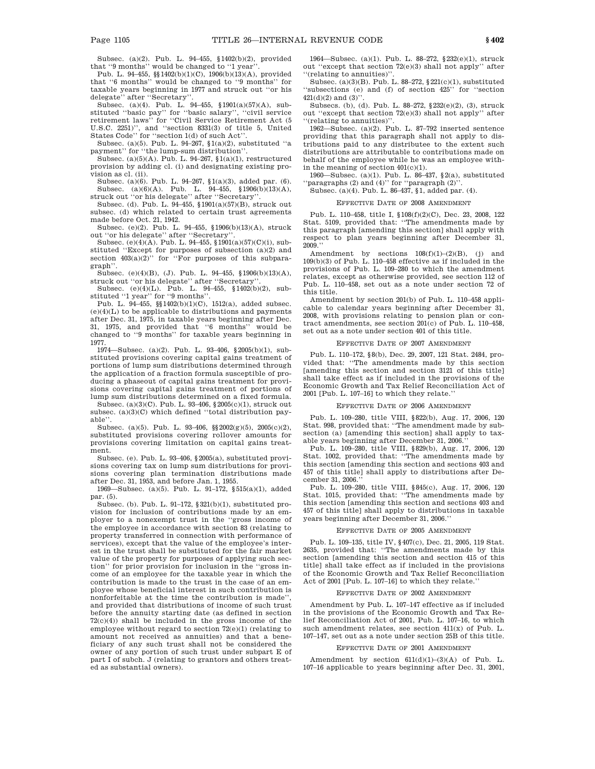Subsec. (a)(2). Pub. L. 94–455, §1402(b)(2), provided that ''9 months'' would be changed to ''1 year''.

Pub. L. 94–455, §§1402(b)(1)(C), 1906(b)(13)(A), provided that ''6 months'' would be changed to ''9 months'' for taxable years beginning in 1977 and struck out ''or his delegate'' after ''Secretary''.

Subsec. (a)(4). Pub. L. 94–455, §1901(a)(57)(A), substituted ''basic pay'' for ''basic salary'', ''civil service retirement laws'' for ''Civil Service Retirement Act (5 U.S.C. 2251)'', and ''section 8331(3) of title 5, United States Code'' for ''section 1(d) of such Act''.

Subsec. (a)(5). Pub. L. 94–267, §1(a)(2), substituted ''a payment'' for ''the lump-sum distribution''.

Subsec. (a)(5)(A). Pub. L. 94-267,  $(1)(a)(1)$ , restructured provision by adding cl. (i) and designating existing provision as cl. (ii).

Subsec. (a)(6). Pub. L. 94–267, §1(a)(3), added par. (6). Subsec. (a)(6)(A). Pub. L. 94–455, §1906(b)(13)(A), struck out ''or his delegate'' after ''Secretary''.

Subsec. (d). Pub. L. 94–455, §1901(a)(57)(B), struck out subsec. (d) which related to certain trust agreements made before Oct. 21, 1942.

Subsec. (e)(2). Pub. L. 94–455, §1906(b)(13)(A), struck out "or his delegate" after "Secretary

Subsec. (e)(4)(A). Pub. L. 94–455, §1901(a)(57)(C)(i), substituted ''Except for purposes of subsection (a)(2) and section  $403(a)(2)$ " for "For purposes of this subparagraph''.

Subsec. (e)(4)(B), (J). Pub. L. 94–455, §1906(b)(13)(A), struck out "or his delegate" after "Secretary'

Subsec. (e)(4)(L). Pub. L. 94–455, §1402(b)(2), substituted ''1 year'' for ''9 months''.

Pub. L. 94–455, §§1402(b)(1)(C), 1512(a), added subsec.  $(e)(4)(L)$  to be applicable to distributions and payments after Dec. 31, 1975, in taxable years beginning after Dec. 31, 1975, and provided that ''6 months'' would be changed to ''9 months'' for taxable years beginning in 1977.

1974—Subsec. (a)(2). Pub. L. 93–406, §2005(b)(1), substituted provisions covering capital gains treatment of portions of lump sum distributions determined through the application of a fraction formula susceptible of producing a phaseout of capital gains treatment for provisions covering capital gains treatment of portions of lump sum distributions determined on a fixed formula.

Subsec. (a)(3)(C). Pub. L. 93–406, §2005(c)(1), struck out subsec. (a)(3)(C) which defined ''total distribution payable''.

Subsec. (a)(5). Pub. L. 93–406,  $\S\ 2002(g)(5)$  , 2005(c)(2), substituted provisions covering rollover amounts for provisions covering limitation on capital gains treatment.

Subsec. (e). Pub. L. 93–406, §2005(a), substituted provisions covering tax on lump sum distributions for provisions covering plan termination distributions made after Dec. 31, 1953, and before Jan. 1, 1955.

1969—Subsec. (a)(5). Pub. L. 91–172, §515(a)(1), added par. (5).

Subsec. (b). Pub. L. 91–172, §321(b)(1), substituted provision for inclusion of contributions made by an employer to a nonexempt trust in the ''gross income of the employee in accordance with section 83 (relating to property transferred in connection with performance of services), except that the value of the employee's interest in the trust shall be substituted for the fair market value of the property for purposes of applying such section'' for prior provision for inclusion in the ''gross income of an employee for the taxable year in which the contribution is made to the trust in the case of an employee whose beneficial interest in such contribution is nonforfeitable at the time the contribution is made'', and provided that distributions of income of such trust before the annuity starting date (as defined in section 72(c)(4)) shall be included in the gross income of the employee without regard to section 72(e)(1) (relating to amount not received as annuities) and that a beneficiary of any such trust shall not be considered the owner of any portion of such trust under subpart E of part I of subch. J (relating to grantors and others treated as substantial owners).

1964—Subsec. (a)(1). Pub. L. 88–272, §232(e)(1), struck out ''except that section 72(e)(3) shall not apply'' after ''(relating to annuities)''.

Subsec. (a)(3)(B). Pub. L. 88–272, §221(c)(1), substituted ''subsections (e) and (f) of section 425'' for ''section  $421(d)(2)$  and  $(3)'$ 

Subsecs. (b), (d). Pub. L. 88–272, §232(e)(2), (3), struck out ''except that section 72(e)(3) shall not apply'' after ''(relating to annuities)''.

1962—Subsec. (a)(2). Pub. L. 87–792 inserted sentence providing that this paragraph shall not apply to distributions paid to any distributee to the extent such distributions are attributable to contributions made on behalf of the employee while he was an employee within the meaning of section 401(c)(1).

1960—Subsec. (a)(1). Pub. L. 86–437, §2(a), substituted ''paragraphs (2) and (4)'' for ''paragraph (2)''.

## Subsec. (a)(4). Pub. L. 86–437, §1, added par. (4). EFFECTIVE DATE OF 2008 AMENDMENT

Pub. L. 110–458, title I, §108(f)(2)(C), Dec. 23, 2008, 122

Stat. 5109, provided that: ''The amendments made by this paragraph [amending this section] shall apply with respect to plan years beginning after December 31, 2009.''

Amendment by sections  $108(f)(1)-(2)(B)$ , (j) and 109(b)(3) of Pub. L. 110–458 effective as if included in the provisions of Pub. L. 109–280 to which the amendment relates, except as otherwise provided, see section 112 of Pub. L. 110–458, set out as a note under section 72 of this title.

Amendment by section 201(b) of Pub. L. 110–458 applicable to calendar years beginning after December 31, 2008, with provisions relating to pension plan or contract amendments, see section 201(c) of Pub. L. 110–458, set out as a note under section 401 of this title.

#### EFFECTIVE DATE OF 2007 AMENDMENT

Pub. L. 110–172, §8(b), Dec. 29, 2007, 121 Stat. 2484, provided that: ''The amendments made by this section [amending this section and section 3121 of this title] shall take effect as if included in the provisions of the Economic Growth and Tax Relief Reconciliation Act of 2001 [Pub. L. 107–16] to which they relate.''

#### EFFECTIVE DATE OF 2006 AMENDMENT

Pub. L. 109–280, title VIII, §822(b), Aug. 17, 2006, 120 Stat. 998, provided that: ''The amendment made by subsection (a) [amending this section] shall apply to taxable years beginning after December 31, 2006.

Pub. L. 109–280, title VIII, §829(b), Aug. 17, 2006, 120 Stat. 1002, provided that: ''The amendments made by this section [amending this section and sections 403 and 457 of this title] shall apply to distributions after December 31, 2006.''

Pub. L. 109–280, title VIII, §845(c), Aug. 17, 2006, 120 Stat. 1015, provided that: ''The amendments made by this section [amending this section and sections 403 and 457 of this title] shall apply to distributions in taxable years beginning after December 31, 2006.

#### EFFECTIVE DATE OF 2005 AMENDMENT

Pub. L. 109–135, title IV, §407(c), Dec. 21, 2005, 119 Stat. 2635, provided that: ''The amendments made by this section [amending this section and section 415 of this title] shall take effect as if included in the provisions of the Economic Growth and Tax Relief Reconciliation Act of 2001 [Pub. L. 107–16] to which they relate.''

#### EFFECTIVE DATE OF 2002 AMENDMENT

Amendment by Pub. L. 107–147 effective as if included in the provisions of the Economic Growth and Tax Relief Reconciliation Act of 2001, Pub. L. 107–16, to which such amendment relates, see section 411(x) of Pub. L. 107–147, set out as a note under section 25B of this title.

#### EFFECTIVE DATE OF 2001 AMENDMENT

Amendment by section 611(d)(1)–(3)(A) of Pub. L. 107–16 applicable to years beginning after Dec. 31, 2001,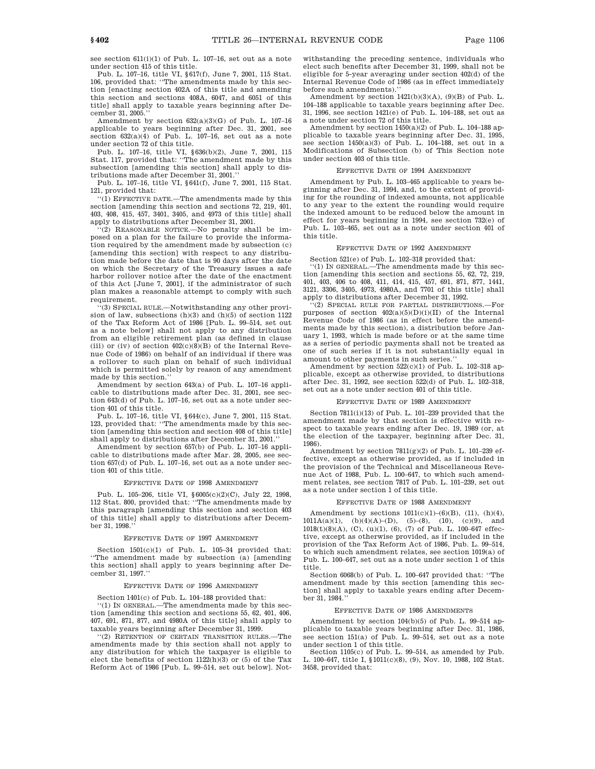see section 611(i)(1) of Pub. L. 107–16, set out as a note under section 415 of this title.

Pub. L. 107–16, title VI, §617(f), June 7, 2001, 115 Stat. 106, provided that: ''The amendments made by this section [enacting section 402A of this title and amending this section and sections 408A, 6047, and 6051 of this title] shall apply to taxable years beginning after December 31, 2005.''

Amendment by section  $632(a)(3)(G)$  of Pub. L. 107-16 applicable to years beginning after Dec. 31, 2001, see section  $632(a)(4)$  of Pub. L. 107-16, set out as a note under section 72 of this title.

Pub. L. 107–16, title VI, §636(b)(2), June 7, 2001, 115 Stat. 117, provided that: "The amendment made by this subsection [amending this section] shall apply to distributions made after December 31, 2001.''

Pub. L. 107–16, title VI, §641(f), June 7, 2001, 115 Stat. 121, provided that:

''(1) EFFECTIVE DATE.—The amendments made by this section [amending this section and sections 72, 219, 401, 403, 408, 415, 457, 3401, 3405, and 4973 of this title] shall apply to distributions after December 31, 2001.

''(2) REASONABLE NOTICE.—No penalty shall be imposed on a plan for the failure to provide the information required by the amendment made by subsection (c) [amending this section] with respect to any distribution made before the date that is 90 days after the date on which the Secretary of the Treasury issues a safe harbor rollover notice after the date of the enactment of this Act [June 7, 2001], if the administrator of such plan makes a reasonable attempt to comply with such requirement.

''(3) SPECIAL RULE.—Notwithstanding any other provision of law, subsections (h)(3) and (h)(5) of section 1122 of the Tax Reform Act of 1986 [Pub. L. 99–514, set out as a note below] shall not apply to any distribution from an eligible retirement plan (as defined in clause (iii) or (iv) of section  $402(c)(8)(B)$  of the Internal Revenue Code of 1986) on behalf of an individual if there was a rollover to such plan on behalf of such individual which is permitted solely by reason of any amendment made by this section.''

Amendment by section 643(a) of Pub. L. 107–16 applicable to distributions made after Dec. 31, 2001, see section 643(d) of Pub. L. 107–16, set out as a note under section 401 of this title.

Pub. L. 107–16, title VI, §644(c), June 7, 2001, 115 Stat. 123, provided that: "The amendments made by this section [amending this section and section 408 of this title] shall apply to distributions after December 31, 2001.''

Amendment by section 657(b) of Pub. L. 107–16 applicable to distributions made after Mar. 28, 2005, see section 657(d) of Pub. L. 107–16, set out as a note under section 401 of this title.

#### EFFECTIVE DATE OF 1998 AMENDMENT

Pub. L. 105–206, title VI, §6005(c)(2)(C), July 22, 1998, 112 Stat. 800, provided that: ''The amendments made by this paragraph [amending this section and section 403 of this title] shall apply to distributions after December 31, 1998.

#### EFFECTIVE DATE OF 1997 AMENDMENT

Section 1501(c)(1) of Pub. L. 105–34 provided that: ''The amendment made by subsection (a) [amending this section] shall apply to years beginning after December 31, 1997.''

#### EFFECTIVE DATE OF 1996 AMENDMENT

Section 1401(c) of Pub. L. 104–188 provided that:

''(1) IN GENERAL.—The amendments made by this section [amending this section and sections 55, 62, 401, 406, 407, 691, 871, 877, and 4980A of this title] shall apply to taxable years beginning after December 31, 1999.

''(2) RETENTION OF CERTAIN TRANSITION RULES.—The amendments made by this section shall not apply to any distribution for which the taxpayer is eligible to elect the benefits of section  $1122(h)(3)$  or (5) of the Tax Reform Act of 1986 [Pub. L. 99–514, set out below]. Notwithstanding the preceding sentence, individuals who elect such benefits after December 31, 1999, shall not be eligible for 5-year averaging under section 402(d) of the Internal Revenue Code of 1986 (as in effect immediately before such amendments).''

Amendment by section 1421(b)(3)(A), (9)(B) of Pub. L. 104–188 applicable to taxable years beginning after Dec. 31, 1996, see section 1421(e) of Pub. L. 104–188, set out as a note under section 72 of this title.

Amendment by section  $1450(a)(2)$  of Pub. L. 104–188 applicable to taxable years beginning after Dec. 31, 1995, see section  $1450(a)(3)$  of Pub. L. 104-188, set out in a Modifications of Subsection (b) of This Section note under section 403 of this title.

#### EFFECTIVE DATE OF 1994 AMENDMENT

Amendment by Pub. L. 103–465 applicable to years beginning after Dec. 31, 1994, and, to the extent of providing for the rounding of indexed amounts, not applicable to any year to the extent the rounding would require the indexed amount to be reduced below the amount in effect for years beginning in 1994, see section 732(e) of Pub. L. 103–465, set out as a note under section 401 of this title.

#### EFFECTIVE DATE OF 1992 AMENDMENT

Section 521(e) of Pub. L. 102–318 provided that:

'(1) IN GENERAL.—The amendments made by this section [amending this section and sections 55, 62, 72, 219, 401, 403, 406 to 408, 411, 414, 415, 457, 691, 871, 877, 1441, 3121, 3306, 3405, 4973, 4980A, and 7701 of this title] shall apply to distributions after December 31, 1992.

'(2) SPECIAL RULE FOR PARTIAL DISTRIBUTIONS. purposes of section  $402(a)(5)(D)(i)(II)$  of the Internal Revenue Code of 1986 (as in effect before the amendments made by this section), a distribution before January 1, 1993, which is made before or at the same time as a series of periodic payments shall not be treated as one of such series if it is not substantially equal in amount to other payments in such series.'

Amendment by section 522(c)(1) of Pub. L. 102–318 applicable, except as otherwise provided, to distributions after Dec. 31, 1992, see section 522(d) of Pub. L. 102–318, set out as a note under section 401 of this title.

#### EFFECTIVE DATE OF 1989 AMENDMENT

Section 7811(i)(13) of Pub. L. 101–239 provided that the amendment made by that section is effective with respect to taxable years ending after Dec. 19, 1989 (or, at the election of the taxpayer, beginning after Dec. 31, 1986).

Amendment by section  $7811(g)(2)$  of Pub. L. 101–239 effective, except as otherwise provided, as if included in the provision of the Technical and Miscellaneous Revenue Act of 1988, Pub. L. 100–647, to which such amendment relates, see section 7817 of Pub. L. 101–239, set out as a note under section 1 of this title.

#### EFFECTIVE DATE OF 1988 AMENDMENT

Amendment by sections  $1011(c)(1)-(6)(B)$ ,  $(11)$ ,  $(h)(4)$ ,  $1011A(a)(1)$ ,  $(b)(4)(A)$ –(D),  $(5)$ –(8),  $(10)$ ,  $(c)(9)$ , and  $1018(t)(8)(A)$ , (C), (u)(1), (6), (7) of Pub. L. 100-647 effective, except as otherwise provided, as if included in the provision of the Tax Reform Act of 1986, Pub. L. 99–514, to which such amendment relates, see section 1019(a) of Pub. L. 100–647, set out as a note under section 1 of this title.

Section 6068(b) of Pub. L. 100–647 provided that: ''The amendment made by this section [amending this section] shall apply to taxable years ending after December 31, 1984.''

#### EFFECTIVE DATE OF 1986 AMENDMENTS

Amendment by section 104(b)(5) of Pub. L. 99–514 applicable to taxable years beginning after Dec. 31, 1986, see section 151(a) of Pub. L. 99–514, set out as a note under section 1 of this title.

Section 1105(c) of Pub. L. 99–514, as amended by Pub. L. 100–647, title I, §1011(c)(8), (9), Nov. 10, 1988, 102 Stat. 3458, provided that: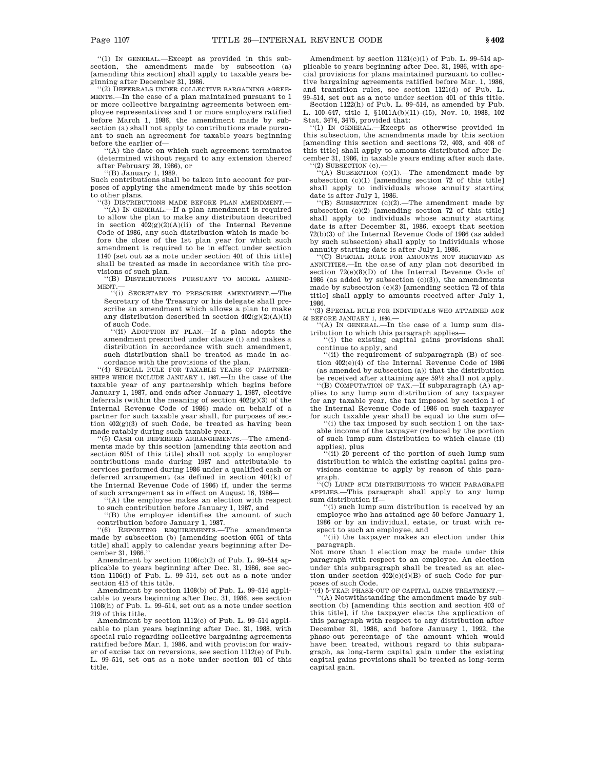''(1) IN GENERAL.—Except as provided in this subsection, the amendment made by subsection (a) [amending this section] shall apply to taxable years beginning after December 31, 1986.

''(2) DEFERRALS UNDER COLLECTIVE BARGAINING AGREE-MENTS.—In the case of a plan maintained pursuant to 1 or more collective bargaining agreements between employee representatives and 1 or more employers ratified before March 1, 1986, the amendment made by subsection (a) shall not apply to contributions made pursuant to such an agreement for taxable years beginning before the earlier of—

''(A) the date on which such agreement terminates (determined without regard to any extension thereof after February 28, 1986), or

''(B) January 1, 1989.

Such contributions shall be taken into account for purposes of applying the amendment made by this section to other plans.

(3) DISTRIBUTIONS MADE BEFORE PLAN AMENDMENT.

''(A) IN GENERAL.—If a plan amendment is required to allow the plan to make any distribution described in section  $402(g)(2)(A)(ii)$  of the Internal Revenue Code of 1986, any such distribution which is made before the close of the 1st plan year for which such amendment is required to be in effect under section 1140 [set out as a note under section 401 of this title] shall be treated as made in accordance with the provisions of such plan.

''(B) DISTRIBUTIONS PURSUANT TO MODEL AMEND-MENT.

''(i) SECRETARY TO PRESCRIBE AMENDMENT.—The Secretary of the Treasury or his delegate shall prescribe an amendment which allows a plan to make any distribution described in section  $402(g)(2)(A)(ii)$ 

of such Code. ''(ii) ADOPTION BY PLAN.—If a plan adopts the amendment prescribed under clause (i) and makes a distribution in accordance with such amendment, such distribution shall be treated as made in accordance with the provisions of the plan.

''(4) SPECIAL RULE FOR TAXABLE YEARS OF PARTNER-SHIPS WHICH INCLUDE JANUARY 1, 1987.—In the case of the taxable year of any partnership which begins before January 1, 1987, and ends after January 1, 1987, elective deferrals (within the meaning of section  $402(g)(3)$  of the Internal Revenue Code of 1986) made on behalf of a partner for such taxable year shall, for purposes of section  $402(g)(3)$  of such Code, be treated as having been made ratably during such taxable year.

''(5) CASH OR DEFERRED ARRANGEMENTS.—The amendments made by this section [amending this section and section 6051 of this title] shall not apply to employer contributions made during 1987 and attributable to services performed during 1986 under a qualified cash or deferred arrangement (as defined in section 401(k) of the Internal Revenue Code of 1986) if, under the terms of such arrangement as in effect on August 16, 1986—

''(A) the employee makes an election with respect

to such contribution before January 1, 1987, and ''(B) the employer identifies the amount of such contribution before January 1, 1987.

'(6) REPORTING REQUIREMENTS.—The amendments made by subsection (b) [amending section 6051 of this title] shall apply to calendar years beginning after December 31, 1986.''

Amendment by section  $1106(c)(2)$  of Pub. L. 99–514 applicable to years beginning after Dec. 31, 1986, see section 1106(i) of Pub. L. 99–514, set out as a note under section 415 of this title.

Amendment by section 1108(b) of Pub. L. 99–514 applicable to years beginning after Dec. 31, 1986, see section 1108(h) of Pub. L. 99–514, set out as a note under section 219 of this title.

Amendment by section 1112(c) of Pub. L. 99–514 applicable to plan years beginning after Dec. 31, 1988, with special rule regarding collective bargaining agreements ratified before Mar. 1, 1986, and with provision for waiver of excise tax on reversions, see section 1112(e) of Pub. L. 99–514, set out as a note under section 401 of this title.

Amendment by section  $1121(c)(1)$  of Pub. L. 99-514 applicable to years beginning after Dec. 31, 1986, with special provisions for plans maintained pursuant to collective bargaining agreements ratified before Mar. 1, 1986, and transition rules, see section 1121(d) of Pub. L. 99–514, set out as a note under section 401 of this title.

Section 1122(h) of Pub. L. 99–514, as amended by Pub. L. 100–647, title I, §1011A(b)(11)–(15), Nov. 10, 1988, 102 Stat. 3474, 3475, provided that:

''(1) IN GENERAL.—Except as otherwise provided in this subsection, the amendments made by this section [amending this section and sections 72, 403, and 408 of this title] shall apply to amounts distributed after December 31, 1986, in taxable years ending after such date.

''(2) SUBSECTION (c).— ''(A) SUBSECTION (c)(1).—The amendment made by subsection (c)(1) [amending section 72 of this title] shall apply to individuals whose annuity starting date is after July 1, 1986.<br>"(B) SUBSECTION (c)(2).—The amendment made by

subsection (c)(2) [amending section 72 of this title] shall apply to individuals whose annuity starting date is after December 31, 1986, except that section 72(b)(3) of the Internal Revenue Code of 1986 (as added by such subsection) shall apply to individuals whose annuity starting date is after July 1, 1986.

''(C) SPECIAL RULE FOR AMOUNTS NOT RECEIVED AS ANNUITIES.—In the case of any plan not described in section 72(e)(8)(D) of the Internal Revenue Code of 1986 (as added by subsection  $(c)(3)$ ), the amendments made by subsection (c)(3) [amending section 72 of this title] shall apply to amounts received after July 1, 1986.

''(3) SPECIAL RULE FOR INDIVIDUALS WHO ATTAINED AGE 50 BEFORE JANUARY 1, 1986.—

''(A) IN GENERAL.—In the case of a lump sum distribution to which this paragraph applies—

''(i) the existing capital gains provisions shall continue to apply, and

''(ii) the requirement of subparagraph (B) of section 402(e)(4) of the Internal Revenue Code of 1986 (as amended by subsection (a)) that the distribution be received after attaining age 59½ shall not apply.<br>
"(B) COMPUTATION OF TAX.—If subparagraph (A) applies to any lump sum distribution of any taxpayer

for any taxable year, the tax imposed by section 1 of the Internal Revenue Code of 1986 on such taxpayer for such taxable year shall be equal to the sum of—

''(i) the tax imposed by such section 1 on the taxable income of the taxpayer (reduced by the portion of such lump sum distribution to which clause (ii) applies), plus

 $f(i)$  20 percent of the portion of such lump sum distribution to which the existing capital gains provisions continue to apply by reason of this para-

graph. ''(C) LUMP SUM DISTRIBUTIONS TO WHICH PARAGRAPH APPLIES.—This paragraph shall apply to any lump sum distribution if—

'(i) such lump sum distribution is received by an employee who has attained age 50 before January 1, 1986 or by an individual, estate, or trust with respect to such an employee, and

''(ii) the taxpayer makes an election under this paragraph.

Not more than 1 election may be made under this paragraph with respect to an employee. An election under this subparagraph shall be treated as an election under section 402(e)(4)(B) of such Code for purposes of such Code.

(4) 5-YEAR PHASE-OUT OF CAPITAL GAINS TREATMENT. ''(A) Notwithstanding the amendment made by subsection (b) [amending this section and section 403 of this title], if the taxpayer elects the application of this paragraph with respect to any distribution after December 31, 1986, and before January 1, 1992, the phase-out percentage of the amount which would have been treated, without regard to this subparagraph, as long-term capital gain under the existing capital gains provisions shall be treated as long-term capital gain.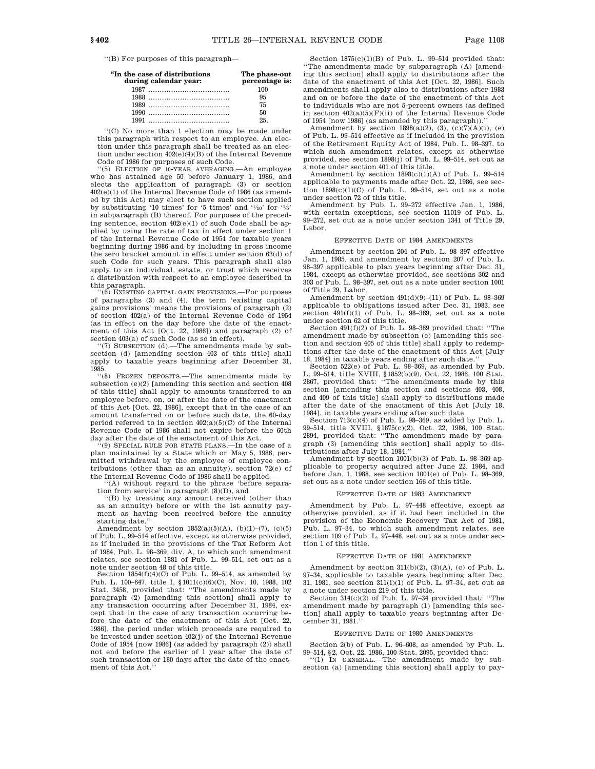''(B) For purposes of this paragraph—

| "In the case of distributions<br>during calendar year: | The phase-out<br>percentage is: |
|--------------------------------------------------------|---------------------------------|
|                                                        | 100                             |
|                                                        | 95                              |
|                                                        | 75                              |
|                                                        | 50                              |
|                                                        | 25                              |
|                                                        |                                 |

''(C) No more than 1 election may be made under this paragraph with respect to an employee. An election under this paragraph shall be treated as an election under section  $402(e)(4)(B)$  of the Internal Revenue Code of 1986 for purposes of such Code.

''(5) ELECTION OF 10-YEAR AVERAGING.—An employee who has attained age 50 before January 1, 1986, and elects the application of paragraph (3) or section 402(e)(1) of the Internal Revenue Code of 1986 (as amended by this Act) may elect to have such section applied by substituting '10 times' for '5 times' and ' $\frac{1}{10}$ ' for ' $\frac{1}{5}$ ' in subparagraph (B) thereof. For purposes of the preceding sentence, section 402(e)(1) of such Code shall be applied by using the rate of tax in effect under section 1 of the Internal Revenue Code of 1954 for taxable years beginning during 1986 and by including in gross income the zero bracket amount in effect under section 63(d) of such Code for such years. This paragraph shall also apply to an individual, estate, or trust which receives a distribution with respect to an employee described in this paragraph.

''(6) EXISTING CAPITAL GAIN PROVISIONS.—For purposes of paragraphs (3) and (4), the term 'existing capital gains provisions' means the provisions of paragraph (2) of section 402(a) of the Internal Revenue Code of 1954 (as in effect on the day before the date of the enactment of this Act [Oct. 22, 1986]) and paragraph (2) of section 403(a) of such Code (as so in effect).

 $''(7)$  SUBSECTION (d).—The amendments made by subsection (d) [amending section 403 of this title] shall apply to taxable years beginning after December 31, 1985.

''(8) FROZEN DEPOSITS.—The amendments made by subsection (e)(2) [amending this section and section 408 of this title] shall apply to amounts transferred to an employee before, on, or after the date of the enactment of this Act [Oct. 22, 1986], except that in the case of an amount transferred on or before such date, the 60-day period referred to in section 402(a)(5)(C) of the Internal Revenue Code of 1986 shall not expire before the 60th day after the date of the enactment of this Act.

''(9) SPECIAL RULE FOR STATE PLANS.—In the case of a plan maintained by a State which on May 5, 1986, permitted withdrawal by the employee of employee contributions (other than as an annuity), section 72(e) of the Internal Revenue Code of 1986 shall be applied—

''(A) without regard to the phrase 'before separation from service' in paragraph (8)(D), and

''(B) by treating any amount received (other than as an annuity) before or with the 1st annuity payment as having been received before the annuity starting date.''

Amendment by section  $1852(a)(5)(A)$ ,  $(b)(1)-(7)$ ,  $(c)(5)$ of Pub. L. 99–514 effective, except as otherwise provided, as if included in the provisions of the Tax Reform Act of 1984, Pub. L. 98–369, div. A, to which such amendment relates, see section 1881 of Pub. L. 99–514, set out as a note under section 48 of this title.

Section  $1854(f)(4)(C)$  of Pub. L. 99–514, as amended by Pub. L. 100–647, title I, §1011(c)(6)(C), Nov. 10, 1988, 102 Stat. 3458, provided that: ''The amendments made by paragraph (2) [amending this section] shall apply to any transaction occurring after December 31, 1984, except that in the case of any transaction occurring before the date of the enactment of this Act [Oct. 22, 1986], the period under which proceeds are required to be invested under section 402(i) of the Internal Revenue Code of 1954 [now 1986] (as added by paragraph (2)) shall not end before the earlier of 1 year after the date of such transaction or 180 days after the date of the enactment of this Act.''

Section 1875(c)(1)(B) of Pub. L. 99–514 provided that: ''The amendments made by subparagraph (A) [amending this section] shall apply to distributions after the date of the enactment of this Act [Oct. 22, 1986]. Such amendments shall apply also to distributions after 1983 and on or before the date of the enactment of this Act to individuals who are not 5-percent owners (as defined in section  $402(a)(5)(F)(ii)$  of the Internal Revenue Code of 1954  $\lceil n$ ow 1986 $\rceil$  (as amended by this paragraph)).

Amendment by section  $1898(a)(2)$ ,  $(3)$ ,  $(c)(7)(A)(i)$ ,  $(e)$ of Pub. L. 99–514 effective as if included in the provision of the Retirement Equity Act of 1984, Pub. L. 98–397, to which such amendment relates, except as otherwise provided, see section 1898(j) of Pub. L. 99–514, set out as a note under section 401 of this title.

Amendment by section 1898(c)(1)(A) of Pub. L. 99–514 applicable to payments made after Oct. 22, 1986, see section  $1898(c)(1)(C)$  of Pub. L. 99-514, set out as a note under section 72 of this title.

Amendment by Pub. L. 99–272 effective Jan. 1, 1986, with certain exceptions, see section 11019 of Pub. L. 99–272, set out as a note under section 1341 of Title 29, Labor.

#### EFFECTIVE DATE OF 1984 AMENDMENTS

Amendment by section 204 of Pub. L. 98–397 effective Jan. 1, 1985, and amendment by section 207 of Pub. L. 98–397 applicable to plan years beginning after Dec. 31, 1984, except as otherwise provided, see sections 302 and 303 of Pub. L. 98–397, set out as a note under section 1001 of Title 29, Labor.

Amendment by section  $491(d)(9)-(11)$  of Pub. L. 98-369 applicable to obligations issued after Dec. 31, 1983, see section 491(f)(1) of Pub. L. 98–369, set out as a note under section 62 of this title.

Section 491(f)(2) of Pub. L. 98–369 provided that: ''The amendment made by subsection (c) [amending this section and section 405 of this title] shall apply to redemptions after the date of the enactment of this Act [July 18, 1984] in taxable years ending after such date.

Section 522(e) of Pub. L. 98–369, as amended by Pub. L. 99–514, title XVIII, §1852(b)(9), Oct. 22, 1986, 100 Stat. 2867, provided that: ''The amendments made by this section [amending this section and sections 403, 408, and 409 of this title] shall apply to distributions made after the date of the enactment of this Act [July 18, 1984], in taxable years ending after such date.

Section  $713(c)(4)$  of Pub. L. 98-369, as added by Pub. L. 99–514, title XVIII, §1875(c)(2), Oct. 22, 1986, 100 Stat. 2894, provided that: ''The amendment made by paragraph (3) [amending this section] shall apply to distributions after July 18, 1984.''

Amendment by section 1001(b)(3) of Pub. L. 98–369 applicable to property acquired after June 22, 1984, and before Jan. 1, 1988, see section 1001(e) of Pub. L. 98–369, set out as a note under section 166 of this title.

#### EFFECTIVE DATE OF 1983 AMENDMENT

Amendment by Pub. L. 97–448 effective, except as otherwise provided, as if it had been included in the provision of the Economic Recovery Tax Act of 1981, Pub. L. 97–34, to which such amendment relates, see section 109 of Pub. L. 97–448, set out as a note under section 1 of this title.

#### EFFECTIVE DATE OF 1981 AMENDMENT

Amendment by section  $311(b)(2)$ ,  $(3)(A)$ ,  $(c)$  of Pub. L. 97–34, applicable to taxable years beginning after Dec. 31, 1981, see section 311(i)(1) of Pub. L. 97–34, set out as a note under section 219 of this title.

Section 314(c)(2) of Pub. L. 97–34 provided that: "The amendment made by paragraph (1) [amending this section] shall apply to taxable years beginning after December 31, 1981.

#### EFFECTIVE DATE OF 1980 AMENDMENTS

Section 2(b) of Pub. L. 96–608, as amended by Pub. L.

99–514, §2, Oct. 22, 1986, 100 Stat. 2095, provided that: ''(1) IN GENERAL.—The amendment made by subsection (a) [amending this section] shall apply to pay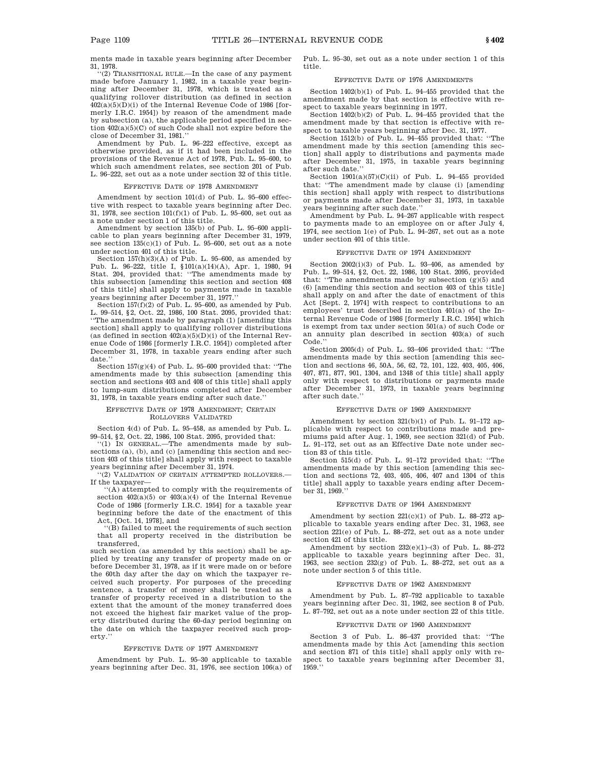ments made in taxable years beginning after December 31, 1978.

''(2) TRANSITIONAL RULE.—In the case of any payment made before January 1, 1982, in a taxable year beginning after December 31, 1978, which is treated as a qualifying rollover distribution (as defined in section  $402(a)(5)(D)(i)$  of the Internal Revenue Code of 1986 [formerly I.R.C. 1954]) by reason of the amendment made by subsection (a), the applicable period specified in section 402(a)(5)(C) of such Code shall not expire before the close of December 31, 1981.''

Amendment by Pub. L. 96–222 effective, except as otherwise provided, as if it had been included in the provisions of the Revenue Act of 1978, Pub. L. 95–600, to which such amendment relates, see section 201 of Pub. L. 96–222, set out as a note under section 32 of this title.

#### EFFECTIVE DATE OF 1978 AMENDMENT

Amendment by section 101(d) of Pub. L. 95–600 effective with respect to taxable years beginning after Dec. 31, 1978, see section 101(f)(1) of Pub. L. 95–600, set out as a note under section 1 of this title.

Amendment by section 135(b) of Pub. L. 95–600 applicable to plan years beginning after December 31, 1979, see section 135(c)(1) of Pub. L. 95–600, set out as a note under section 401 of this title.

Section  $157(h)(3)(A)$  of Pub. L. 95–600, as amended by Pub. L. 96–222, title I, §101(a)(14)(A), Apr. 1, 1980, 94 Stat. 204, provided that: ''The amendments made by this subsection [amending this section and section 408 of this title] shall apply to payments made in taxable years beginning after December 31, 1977.''

Section  $157(f)(2)$  of Pub. L. 95–600, as amended by Pub. L. 99–514, §2, Oct. 22, 1986, 100 Stat. 2095, provided that: ''The amendment made by paragraph (1) [amending this section] shall apply to qualifying rollover distributions (as defined in section  $402(a)(5)(D)(i)$  of the Internal Revenue Code of 1986 [formerly I.R.C. 1954]) completed after December 31, 1978, in taxable years ending after such date.'

Section 157(g)(4) of Pub. L. 95–600 provided that: ''The amendments made by this subsection [amending this section and sections 403 and 408 of this title] shall apply to lump-sum distributions completed after December 31, 1978, in taxable years ending after such date.''

### EFFECTIVE DATE OF 1978 AMENDMENT; CERTAIN ROLLOVERS VALIDATED

Section 4(d) of Pub. L. 95–458, as amended by Pub. L. 99–514, §2, Oct. 22, 1986, 100 Stat. 2095, provided that: ''(1) IN GENERAL.—The amendments made by sub-

sections (a), (b), and (c) [amending this section and section 403 of this title] shall apply with respect to taxable years beginning after December 31, 1974.

''(2) VALIDATION OF CERTAIN ATTEMPTED ROLLOVERS.— If the taxpayer—

''(A) attempted to comply with the requirements of section  $402(a)(5)$  or  $403(a)(4)$  of the Internal Revenue Code of 1986 [formerly I.R.C. 1954] for a taxable year beginning before the date of the enactment of this Act, [Oct. 14, 1978], and

''(B) failed to meet the requirements of such section that all property received in the distribution be transferred,

such section (as amended by this section) shall be applied by treating any transfer of property made on or before December 31, 1978, as if it were made on or before the 60th day after the day on which the taxpayer received such property. For purposes of the preceding sentence, a transfer of money shall be treated as a transfer of property received in a distribution to the extent that the amount of the money transferred does not exceed the highest fair market value of the property distributed during the 60-day period beginning on the date on which the taxpayer received such property.''

#### EFFECTIVE DATE OF 1977 AMENDMENT

Amendment by Pub. L. 95–30 applicable to taxable years beginning after Dec. 31, 1976, see section 106(a) of Pub. L. 95–30, set out as a note under section 1 of this title.

### EFFECTIVE DATE OF 1976 AMENDMENTS

Section 1402(b)(1) of Pub. L. 94–455 provided that the amendment made by that section is effective with respect to taxable years beginning in 1977.

Section 1402(b)(2) of Pub. L. 94–455 provided that the amendment made by that section is effective with respect to taxable years beginning after Dec. 31, 1977.

Section 1512(b) of Pub. L. 94–455 provided that: ''The amendment made by this section [amending this section] shall apply to distributions and payments made after December 31, 1975, in taxable years beginning after such date.''

Section 1901(a)(57)(C)(ii) of Pub. L. 94–455 provided that: ''The amendment made by clause (i) [amending this section] shall apply with respect to distributions or payments made after December 31, 1973, in taxable years beginning after such date.''

Amendment by Pub. L. 94–267 applicable with respect to payments made to an employee on or after July 4, 1974, see section 1(e) of Pub.  $\overline{L}$ . 94–267, set out as a note under section 401 of this title.

#### EFFECTIVE DATE OF 1974 AMENDMENT

Section  $2002(i)(3)$  of Pub. L. 93-406, as amended by Pub. L. 99–514, §2, Oct. 22, 1986, 100 Stat. 2095, provided that: "The amendments made by subsection  $(g)(5)$  and (6) [amending this section and section 403 of this title] shall apply on and after the date of enactment of this Act [Sept. 2, 1974] with respect to contributions to an employees' trust described in section 401(a) of the Internal Revenue Code of 1986 [formerly I.R.C. 1954] which is exempt from tax under section 501(a) of such Code or an annuity plan described in section 403(a) of such Code.''

Section 2005(d) of Pub. L. 93–406 provided that: ''The amendments made by this section [amending this section and sections 46, 50A, 56, 62, 72, 101, 122, 403, 405, 406, 407, 871, 877, 901, 1304, and 1348 of this title] shall apply only with respect to distributions or payments made after December 31, 1973, in taxable years beginning after such date.''

#### EFFECTIVE DATE OF 1969 AMENDMENT

Amendment by section 321(b)(1) of Pub. L. 91–172 applicable with respect to contributions made and premiums paid after Aug. 1, 1969, see section 321(d) of Pub. L. 91–172, set out as an Effective Date note under section 83 of this title.

Section 515(d) of Pub. L. 91–172 provided that: ''The amendments made by this section [amending this section and sections 72, 403, 405, 406, 407 and 1304 of this title] shall apply to taxable years ending after December 31, 1969.''

#### EFFECTIVE DATE OF 1964 AMENDMENT

Amendment by section  $221(c)(1)$  of Pub. L. 88–272 applicable to taxable years ending after Dec. 31, 1963, see section 221(e) of Pub. L. 88–272, set out as a note under section 421 of this title.

Amendment by section 232(e)(1)–(3) of Pub. L. 88–272 applicable to taxable years beginning after Dec. 31, 1963, see section 232(g) of Pub. L. 88–272, set out as a note under section 5 of this title.

#### EFFECTIVE DATE OF 1962 AMENDMENT

Amendment by Pub. L. 87–792 applicable to taxable years beginning after Dec. 31, 1962, see section 8 of Pub. L. 87–792, set out as a note under section 22 of this title.

#### EFFECTIVE DATE OF 1960 AMENDMENT

Section 3 of Pub. L. 86–437 provided that: ''The amendments made by this Act [amending this section and section 871 of this title] shall apply only with respect to taxable years beginning after December 31, 1959.''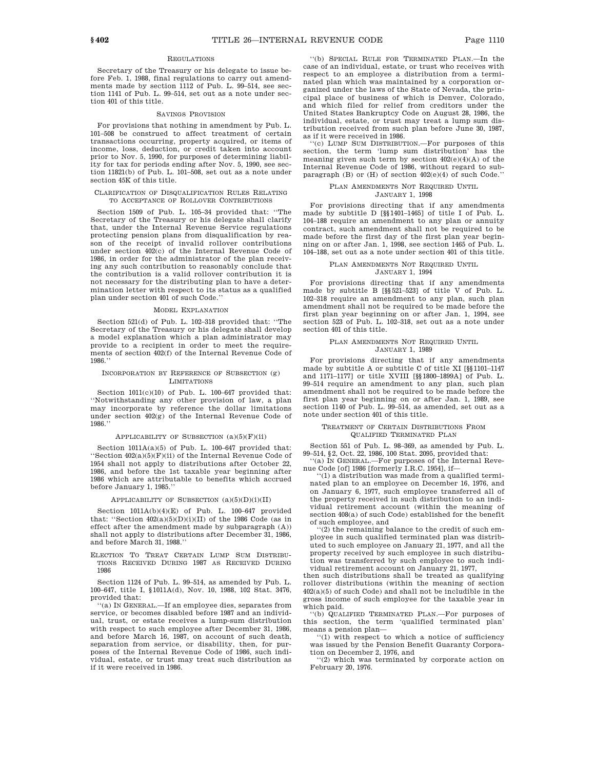#### REGULATIONS

Secretary of the Treasury or his delegate to issue before Feb. 1, 1988, final regulations to carry out amendments made by section 1112 of Pub. L. 99–514, see section 1141 of Pub. L. 99–514, set out as a note under section 401 of this title.

#### SAVINGS PROVISION

For provisions that nothing in amendment by Pub. L. 101–508 be construed to affect treatment of certain transactions occurring, property acquired, or items of income, loss, deduction, or credit taken into account prior to Nov. 5, 1990, for purposes of determining liability for tax for periods ending after Nov. 5, 1990, see section 11821(b) of Pub. L. 101–508, set out as a note under section 45K of this title.

### CLARIFICATION OF DISQUALIFICATION RULES RELATING TO ACCEPTANCE OF ROLLOVER CONTRIBUTIONS

Section 1509 of Pub. L. 105–34 provided that: ''The Secretary of the Treasury or his delegate shall clarify that, under the Internal Revenue Service regulations protecting pension plans from disqualification by reason of the receipt of invalid rollover contributions under section 402(c) of the Internal Revenue Code of 1986, in order for the administrator of the plan receiving any such contribution to reasonably conclude that the contribution is a valid rollover contribution it is not necessary for the distributing plan to have a determination letter with respect to its status as a qualified plan under section 401 of such Code.''

#### MODEL EXPLANATION

Section 521(d) of Pub. L. 102–318 provided that: ''The Secretary of the Treasury or his delegate shall develop a model explanation which a plan administrator may provide to a recipient in order to meet the requirements of section 402(f) of the Internal Revenue Code of 1986.''

#### INCORPORATION BY REFERENCE OF SUBSECTION (g) LIMITATIONS

Section 1011(c)(10) of Pub. L. 100–647 provided that: ''Notwithstanding any other provision of law, a plan may incorporate by reference the dollar limitations under section 402(g) of the Internal Revenue Code of 1986.''

#### APPLICABILITY OF SUBSECTION  $(a)(5)(F)(ii)$

Section  $1011A(a)(5)$  of Pub. L. 100–647 provided that: ''Section 402(a)(5)(F)(ii) of the Internal Revenue Code of 1954 shall not apply to distributions after October 22, 1986, and before the 1st taxable year beginning after 1986 which are attributable to benefits which accrued before January 1, 1985.''

APPLICABILITY OF SUBSECTION  $(a)(5)(D)(i)(II)$ 

Section  $1011A(b)(4)(E)$  of Pub. L.  $100-647$  provided that: "Section  $402(a)(5)(D)(i)(II)$  of the 1986 Code (as in effect after the amendment made by subparagraph (A)) shall not apply to distributions after December 31, 1986, and before March 31, 1988.''

ELECTION TO TREAT CERTAIN LUMP SUM DISTRIBU-TIONS RECEIVED DURING 1987 AS RECEIVED DURING 1986

Section 1124 of Pub. L. 99–514, as amended by Pub. L. 100–647, title I, §1011A(d), Nov. 10, 1988, 102 Stat. 3476, provided that:

''(a) IN GENERAL.—If an employee dies, separates from service, or becomes disabled before 1987 and an individual, trust, or estate receives a lump-sum distribution with respect to such employee after December 31, 1986, and before March 16, 1987, on account of such death, separation from service, or disability, then, for purposes of the Internal Revenue Code of 1986, such individual, estate, or trust may treat such distribution as if it were received in 1986.

''(b) SPECIAL RULE FOR TERMINATED PLAN.—In the case of an individual, estate, or trust who receives with respect to an employee a distribution from a terminated plan which was maintained by a corporation organized under the laws of the State of Nevada, the principal place of business of which is Denver, Colorado, and which filed for relief from creditors under the United States Bankruptcy Code on August 28, 1986, the individual, estate, or trust may treat a lump sum distribution received from such plan before June 30, 1987, as if it were received in 1986.

'(c) LUMP SUM DISTRIBUTION.—For purposes of this section, the term 'lump sum distribution' has the meaning given such term by section  $402(e)(4)(A)$  of the Internal Revenue Code of 1986, without regard to subparagraph (B) or (H) of section 402(e)(4) of such Code.''

#### PLAN AMENDMENTS NOT REQUIRED UNTIL JANUARY 1, 1998

For provisions directing that if any amendments made by subtitle D [§§1401–1465] of title I of Pub. L. 104–188 require an amendment to any plan or annuity contract, such amendment shall not be required to be made before the first day of the first plan year beginning on or after Jan. 1, 1998, see section 1465 of Pub. L. 104–188, set out as a note under section 401 of this title.

### PLAN AMENDMENTS NOT REQUIRED UNTIL

JANUARY 1, 1994

For provisions directing that if any amendments made by subtitle B [§§521–523] of title V of Pub. L. 102–318 require an amendment to any plan, such plan amendment shall not be required to be made before the first plan year beginning on or after Jan. 1, 1994, see section 523 of Pub. L. 102–318, set out as a note under section 401 of this title.

#### PLAN AMENDMENTS NOT REQUIRED UNTIL JANUARY 1, 1989

For provisions directing that if any amendments made by subtitle A or subtitle C of title XI [§§1101–1147 and 1171–1177] or title XVIII [§§1800–1899A] of Pub. L. 99–514 require an amendment to any plan, such plan amendment shall not be required to be made before the first plan year beginning on or after Jan. 1, 1989, see section 1140 of Pub. L. 99–514, as amended, set out as a note under section 401 of this title.

#### TREATMENT OF CERTAIN DISTRIBUTIONS FROM QUALIFIED TERMINATED PLAN

Section 551 of Pub. L. 98–369, as amended by Pub. L. 99–514, §2, Oct. 22, 1986, 100 Stat. 2095, provided that:

''(a) IN GENERAL.—For purposes of the Internal Revenue Code [of] 1986 [formerly I.R.C. 1954], if—

''(1) a distribution was made from a qualified terminated plan to an employee on December 16, 1976, and on January 6, 1977, such employee transferred all of the property received in such distribution to an individual retirement account (within the meaning of section 408(a) of such Code) established for the benefit of such employee, and

''(2) the remaining balance to the credit of such employee in such qualified terminated plan was distributed to such employee on January 21, 1977, and all the property received by such employee in such distribution was transferred by such employee to such individual retirement account on January 21, 1977,

then such distributions shall be treated as qualifying rollover distributions (within the meaning of section 402(a)(5) of such Code) and shall not be includible in the gross income of such employee for the taxable year in which paid.

''(b) QUALIFIED TERMINATED PLAN.—For purposes of this section, the term 'qualified terminated plan' means a pension plan—

''(1) with respect to which a notice of sufficiency was issued by the Pension Benefit Guaranty Corporation on December 2, 1976, and

''(2) which was terminated by corporate action on February 20, 1976.